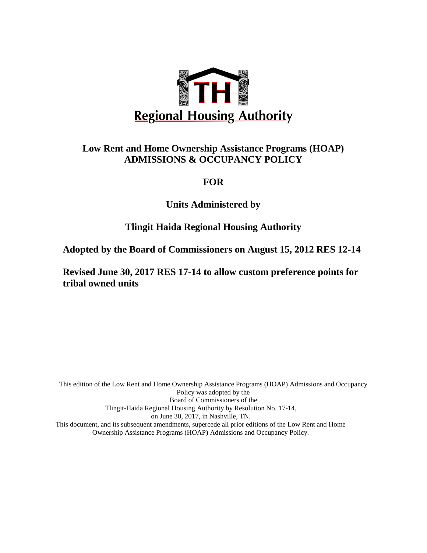

## **Low Rent and Home Ownership Assistance Programs (HOAP) ADMISSIONS & OCCUPANCY POLICY**

## **FOR**

**Units Administered by** 

## **Tlingit Haida Regional Housing Authority**

**Adopted by the Board of Commissioners on August 15, 2012 RES 12-14**

**Revised June 30, 2017 RES 17-14 to allow custom preference points for tribal owned units**

This edition of the Low Rent and Home Ownership Assistance Programs (HOAP) Admissions and Occupancy Policy was adopted by the Board of Commissioners of the Tlingit-Haida Regional Housing Authority by Resolution No. 17-14, on June 30, 2017, in Nashville, TN. This document, and its subsequent amendments, supercede all prior editions of the Low Rent and Home Ownership Assistance Programs (HOAP) Admissions and Occupancy Policy.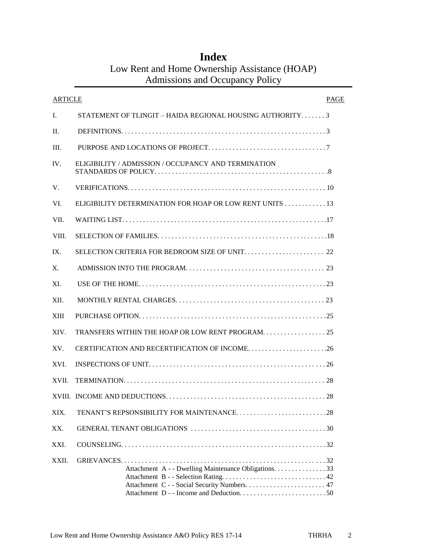## **Index** Low Rent and Home Ownership Assistance (HOAP) Admissions and Occupancy Policy

| ARTICLE     | PAGE                                                        |  |
|-------------|-------------------------------------------------------------|--|
| L.          | STATEMENT OF TLINGIT – HAIDA REGIONAL HOUSING AUTHORITY $3$ |  |
| H.          |                                                             |  |
| III.        |                                                             |  |
| IV.         | ELIGIBILITY / ADMISSION / OCCUPANCY AND TERMINATION         |  |
| V.          |                                                             |  |
| VI.         | ELIGIBILITY DETERMINATION FOR HOAP OR LOW RENT UNITS 13     |  |
| VII.        |                                                             |  |
| VIII.       |                                                             |  |
| IX.         |                                                             |  |
| X.          |                                                             |  |
| XI.         |                                                             |  |
| XII.        |                                                             |  |
| <b>XIII</b> |                                                             |  |
| XIV.        |                                                             |  |
| XV.         |                                                             |  |
| XVI.        |                                                             |  |
| XVII.       |                                                             |  |
|             |                                                             |  |
| XIX.        |                                                             |  |
| XX.         |                                                             |  |
| XXI.        |                                                             |  |
| XXII.       | Attachment A - - Dwelling Maintenance Obligations. 33       |  |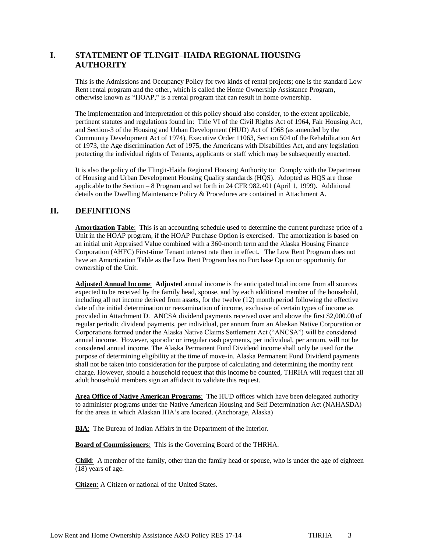## **I. STATEMENT OF TLINGIT–HAIDA REGIONAL HOUSING AUTHORITY**

This is the Admissions and Occupancy Policy for two kinds of rental projects; one is the standard Low Rent rental program and the other, which is called the Home Ownership Assistance Program, otherwise known as "HOAP," is a rental program that can result in home ownership.

The implementation and interpretation of this policy should also consider, to the extent applicable, pertinent statutes and regulations found in: Title VI of the Civil Rights Act of 1964, Fair Housing Act, and Section-3 of the Housing and Urban Development (HUD) Act of 1968 (as amended by the Community Development Act of 1974), Executive Order 11063, Section 504 of the Rehabilitation Act of 1973, the Age discrimination Act of 1975, the Americans with Disabilities Act, and any legislation protecting the individual rights of Tenants, applicants or staff which may be subsequently enacted.

It is also the policy of the Tlingit-Haida Regional Housing Authority to: Comply with the Department of Housing and Urban Development Housing Quality standards (HQS). Adopted as HQS are those applicable to the Section – 8 Program and set forth in 24 CFR 982.401 (April 1, 1999). Additional details on the Dwelling Maintenance Policy & Procedures are contained in Attachment A.

### **II. DEFINITIONS**

**Amortization Table**:This is an accounting schedule used to determine the current purchase price of a Unit in the HOAP program, if the HOAP Purchase Option is exercised. The amortization is based on an initial unit Appraised Value combined with a 360-month term and the Alaska Housing Finance Corporation (AHFC) First-time Tenant interest rate then in effect**.** The Low Rent Program does not have an Amortization Table as the Low Rent Program has no Purchase Option or opportunity for ownership of the Unit.

**Adjusted Annual Income**: **Adjusted** annual income is the anticipated total income from all sources expected to be received by the family head, spouse, and by each additional member of the household, including all net income derived from assets, for the twelve (12) month period following the effective date of the initial determination or reexamination of income, exclusive of certain types of income as provided in Attachment D. ANCSA dividend payments received over and above the first \$2,000.00 of regular periodic dividend payments, per individual, per annum from an Alaskan Native Corporation or Corporations formed under the Alaska Native Claims Settlement Act ("ANCSA") will be considered annual income. However, sporadic or irregular cash payments, per individual, per annum, will not be considered annual income. The Alaska Permanent Fund Dividend income shall only be used for the purpose of determining eligibility at the time of move-in. Alaska Permanent Fund Dividend payments shall not be taken into consideration for the purpose of calculating and determining the monthy rent charge. However, should a household request that this income be counted, THRHA will request that all adult household members sign an affidavit to validate this request.

**Area Office of Native American Programs**: The HUD offices which have been delegated authority to administer programs under the Native American Housing and Self Determination Act (NAHASDA) for the areas in which Alaskan IHA's are located. (Anchorage, Alaska)

**BIA**: The Bureau of Indian Affairs in the Department of the Interior.

**Board of Commissioners**:This is the Governing Board of the THRHA.

**Child**: A member of the family, other than the family head or spouse, who is under the age of eighteen (18) years of age.

**Citizen**: A Citizen or national of the United States.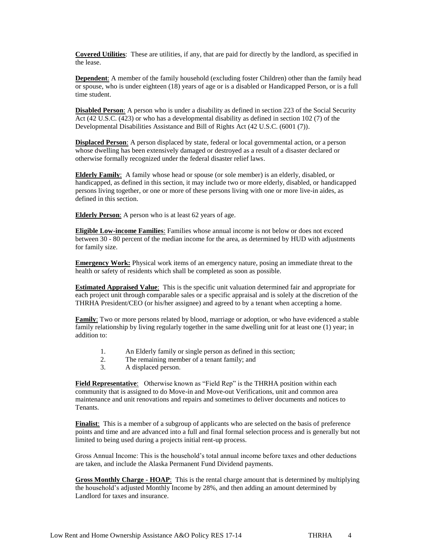**Covered Utilities**: These are utilities, if any, that are paid for directly by the landlord, as specified in the lease.

**Dependent**: A member of the family household (excluding foster Children) other than the family head or spouse, who is under eighteen (18) years of age or is a disabled or Handicapped Person, or is a full time student.

**Disabled Person**: A person who is under a disability as defined in section 223 of the Social Security Act (42 U.S.C. (423) or who has a developmental disability as defined in section 102 (7) of the Developmental Disabilities Assistance and Bill of Rights Act (42 U.S.C. (6001 (7)).

**Displaced Person**: A person displaced by state, federal or local governmental action, or a person whose dwelling has been extensively damaged or destroyed as a result of a disaster declared or otherwise formally recognized under the federal disaster relief laws.

**Elderly Family**: A family whose head or spouse (or sole member) is an elderly, disabled, or handicapped, as defined in this section, it may include two or more elderly, disabled, or handicapped persons living together, or one or more of these persons living with one or more live-in aides, as defined in this section.

**Elderly Person**: A person who is at least 62 years of age.

**Eligible Low-income Families**: Families whose annual income is not below or does not exceed between 30 - 80 percent of the median income for the area, as determined by HUD with adjustments for family size.

**Emergency Work:** Physical work items of an emergency nature, posing an immediate threat to the health or safety of residents which shall be completed as soon as possible.

**Estimated Appraised Value**:This is the specific unit valuation determined fair and appropriate for each project unit through comparable sales or a specific appraisal and is solely at the discretion of the THRHA President/CEO (or his/her assignee) and agreed to by a tenant when accepting a home.

**Family**: Two or more persons related by blood, marriage or adoption, or who have evidenced a stable family relationship by living regularly together in the same dwelling unit for at least one (1) year; in addition to:

- 1. An Elderly family or single person as defined in this section;
- 2. The remaining member of a tenant family; and
- 3. A displaced person.

**Field Representative**:Otherwise known as "Field Rep" is the THRHA position within each community that is assigned to do Move-in and Move-out Verifications, unit and common area maintenance and unit renovations and repairs and sometimes to deliver documents and notices to Tenants.

**Finalist**: This is a member of a subgroup of applicants who are selected on the basis of preference points and time and are advanced into a full and final formal selection process and is generally but not limited to being used during a projects initial rent-up process.

Gross Annual Income: This is the household's total annual income before taxes and other deductions are taken, and include the Alaska Permanent Fund Dividend payments.

**Gross Monthly Charge - HOAP**:This is the rental charge amount that is determined by multiplying the household's adjusted Monthly Income by 28%, and then adding an amount determined by Landlord for taxes and insurance.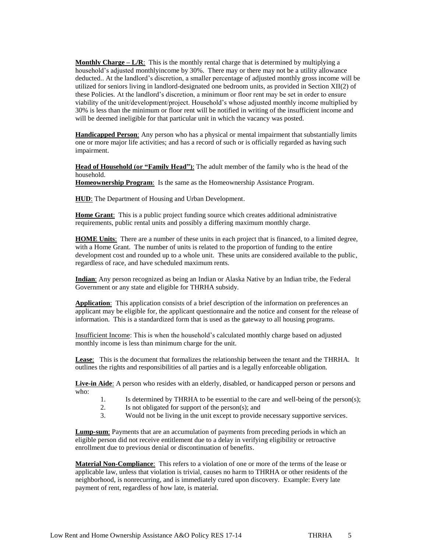**Monthly Charge – L/R**:This is the monthly rental charge that is determined by multiplying a household's adjusted monthlyincome by 30%. There may or there may not be a utility allowance deducted.. At the landlord's discretion, a smaller percentage of adjusted monthly gross income will be utilized for seniors living in landlord-designated one bedroom units, as provided in Section XII(2) of these Policies. At the landlord's discretion, a minimum or floor rent may be set in order to ensure viability of the unit/development/project. Household's whose adjusted monthly income multiplied by 30% is less than the minimum or floor rent will be notified in writing of the insufficient income and will be deemed ineligible for that particular unit in which the vacancy was posted.

**Handicapped Person**: Any person who has a physical or mental impairment that substantially limits one or more major life activities; and has a record of such or is officially regarded as having such impairment.

**Head of Household (or "Family Head")**: The adult member of the family who is the head of the household.

**Homeownership Program**: Is the same as the Homeownership Assistance Program.

**HUD**: The Department of Housing and Urban Development.

**Home Grant**: This is a public project funding source which creates additional administrative requirements, public rental units and possibly a differing maximum monthly charge.

**HOME Units**:There are a number of these units in each project that is financed, to a limited degree, with a Home Grant. The number of units is related to the proportion of funding to the entire development cost and rounded up to a whole unit. These units are considered available to the public, regardless of race, and have scheduled maximum rents.

**Indian**: Any person recognized as being an Indian or Alaska Native by an Indian tribe, the Federal Government or any state and eligible for THRHA subsidy.

**Application**: This application consists of a brief description of the information on preferences an applicant may be eligible for, the applicant questionnaire and the notice and consent for the release of information. This is a standardized form that is used as the gateway to all housing programs.

Insufficient Income: This is when the household's calculated monthly charge based on adjusted monthly income is less than minimum charge for the unit.

**Lease**: This is the document that formalizes the relationship between the tenant and the THRHA. It outlines the rights and responsibilities of all parties and is a legally enforceable obligation.

**Live-in Aide**: A person who resides with an elderly, disabled, or handicapped person or persons and who:

- 1. Is determined by THRHA to be essential to the care and well-being of the person(s);
- 2. Is not obligated for support of the person(s); and
- 3. Would not be living in the unit except to provide necessary supportive services.

**Lump-sum**: Payments that are an accumulation of payments from preceding periods in which an eligible person did not receive entitlement due to a delay in verifying eligibility or retroactive enrollment due to previous denial or discontinuation of benefits.

**Material Non-Compliance**:This refers to a violation of one or more of the terms of the lease or applicable law, unless that violation is trivial, causes no harm to THRHA or other residents of the neighborhood, is nonrecurring, and is immediately cured upon discovery. Example: Every late payment of rent, regardless of how late, is material.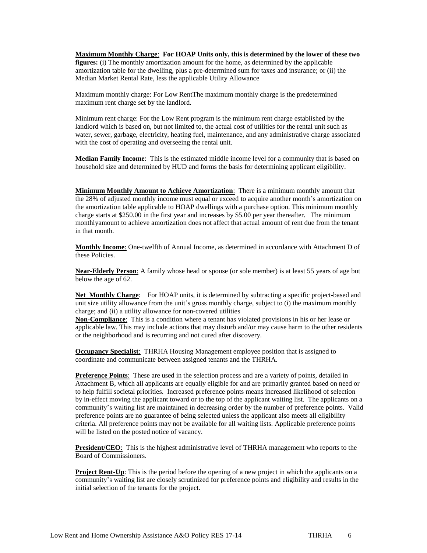**Maximum Monthly Charge**: **For HOAP Units only, this is determined by the lower of these two figures:** (i) The monthly amortization amount for the home, as determined by the applicable amortization table for the dwelling, plus a pre-determined sum for taxes and insurance; or (ii) the Median Market Rental Rate, less the applicable Utility Allowance

Maximum monthly charge: For Low RentThe maximum monthly charge is the predetermined maximum rent charge set by the landlord.

Minimum rent charge: For the Low Rent program is the minimum rent charge established by the landlord which is based on, but not limited to, the actual cost of utilities for the rental unit such as water, sewer, garbage, electricity, heating fuel, maintenance, and any administrative charge associated with the cost of operating and overseeing the rental unit.

**Median Family Income**:This is the estimated middle income level for a community that is based on household size and determined by HUD and forms the basis for determining applicant eligibility.

**Minimum Monthly Amount to Achieve Amortization**: There is a minimum monthly amount that the 28% of adjusted monthly income must equal or exceed to acquire another month's amortization on the amortization table applicable to HOAP dwellings with a purchase option. This minimum monthly charge starts at \$250.00 in the first year and increases by \$5.00 per year thereafter. The minimum monthlyamount to achieve amortization does not affect that actual amount of rent due from the tenant in that month.

**Monthly Income**: One-twelfth of Annual Income, as determined in accordance with Attachment D of these Policies.

**Near-Elderly Person**: A family whose head or spouse (or sole member) is at least 55 years of age but below the age of 62.

**Net Monthly Charge**: For HOAP units, it is determined by subtracting a specific project-based and unit size utility allowance from the unit's gross monthly charge, subject to (i) the maximum monthly charge; and (ii) a utility allowance for non-covered utilities

**Non-Compliance**: This is a condition where a tenant has violated provisions in his or her lease or applicable law. This may include actions that may disturb and/or may cause harm to the other residents or the neighborhood and is recurring and not cured after discovery.

**Occupancy Specialist**: THRHA Housing Management employee position that is assigned to coordinate and communicate between assigned tenants and the THRHA.

**Preference Points**: These are used in the selection process and are a variety of points, detailed in Attachment B, which all applicants are equally eligible for and are primarily granted based on need or to help fulfill societal priorities. Increased preference points means increased likelihood of selection by in-effect moving the applicant toward or to the top of the applicant waiting list. The applicants on a community's waiting list are maintained in decreasing order by the number of preference points. Valid preference points are no guarantee of being selected unless the applicant also meets all eligibility criteria. All preference points may not be available for all waiting lists. Applicable preference points will be listed on the posted notice of vacancy.

**President/CEO**:This is the highest administrative level of THRHA management who reports to the Board of Commissioners.

**Project Rent-Up**: This is the period before the opening of a new project in which the applicants on a community's waiting list are closely scrutinized for preference points and eligibility and results in the initial selection of the tenants for the project.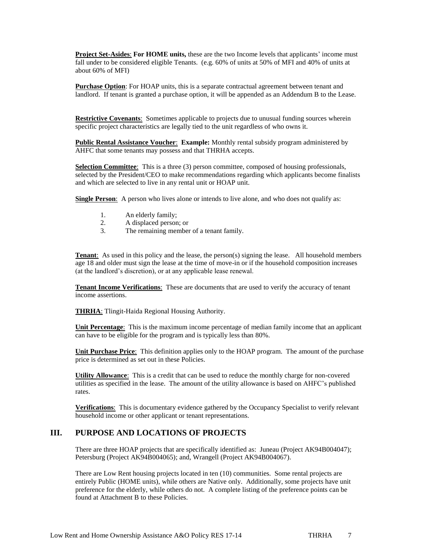**Project Set-Asides**: **For HOME units,** these are the two Income levels that applicants' income must fall under to be considered eligible Tenants. (e.g. 60% of units at 50% of MFI and 40% of units at about 60% of MFI)

**Purchase Option**: For HOAP units, this is a separate contractual agreement between tenant and landlord. If tenant is granted a purchase option, it will be appended as an Addendum B to the Lease.

**Restrictive Covenants**:Sometimes applicable to projects due to unusual funding sources wherein specific project characteristics are legally tied to the unit regardless of who owns it.

**Public Rental Assistance Voucher**: **Example:** Monthly rental subsidy program administered by AHFC that some tenants may possess and that THRHA accepts.

**Selection Committee:** This is a three (3) person committee, composed of housing professionals, selected by the President/CEO to make recommendations regarding which applicants become finalists and which are selected to live in any rental unit or HOAP unit.

**Single Person**: A person who lives alone or intends to live alone, and who does not qualify as:

- 1. An elderly family;
- 2. A displaced person; or
- 3. The remaining member of a tenant family.

**Tenant:** As used in this policy and the lease, the person(s) signing the lease. All household members age 18 and older must sign the lease at the time of move-in or if the household composition increases (at the landlord's discretion), or at any applicable lease renewal.

**Tenant Income Verifications**:These are documents that are used to verify the accuracy of tenant income assertions.

**THRHA**: Tlingit-Haida Regional Housing Authority.

**Unit Percentage**: This is the maximum income percentage of median family income that an applicant can have to be eligible for the program and is typically less than 80%.

**Unit Purchase Price**:This definition applies only to the HOAP program. The amount of the purchase price is determined as set out in these Policies.

**Utility Allowance**:This is a credit that can be used to reduce the monthly charge for non-covered utilities as specified in the lease. The amount of the utility allowance is based on AHFC's published rates.

**Verifications**: This is documentary evidence gathered by the Occupancy Specialist to verify relevant household income or other applicant or tenant representations.

### **III. PURPOSE AND LOCATIONS OF PROJECTS**

There are three HOAP projects that are specifically identified as: Juneau (Project AK94B004047); Petersburg (Project AK94B004065); and, Wrangell (Project AK94B004067).

There are Low Rent housing projects located in ten (10) communities. Some rental projects are entirely Public (HOME units), while others are Native only. Additionally, some projects have unit preference for the elderly, while others do not. A complete listing of the preference points can be found at Attachment B to these Policies.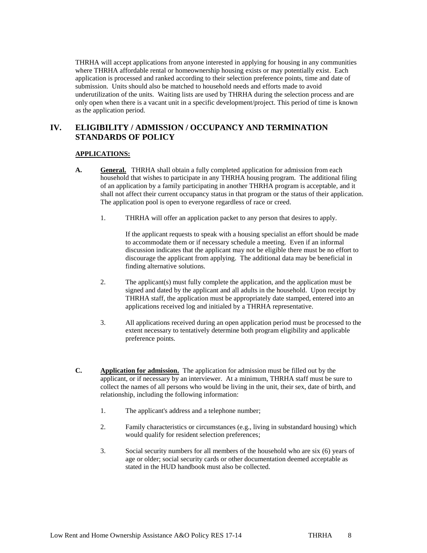THRHA will accept applications from anyone interested in applying for housing in any communities where THRHA affordable rental or homeownership housing exists or may potentially exist. Each application is processed and ranked according to their selection preference points, time and date of submission. Units should also be matched to household needs and efforts made to avoid underutilization of the units. Waiting lists are used by THRHA during the selection process and are only open when there is a vacant unit in a specific development/project. This period of time is known as the application period.

### **IV. ELIGIBILITY / ADMISSION / OCCUPANCY AND TERMINATION STANDARDS OF POLICY**

### **APPLICATIONS:**

- **A. General.** THRHA shall obtain a fully completed application for admission from each household that wishes to participate in any THRHA housing program. The additional filing of an application by a family participating in another THRHA program is acceptable, and it shall not affect their current occupancy status in that program or the status of their application. The application pool is open to everyone regardless of race or creed.
	- 1. THRHA will offer an application packet to any person that desires to apply.

If the applicant requests to speak with a housing specialist an effort should be made to accommodate them or if necessary schedule a meeting. Even if an informal discussion indicates that the applicant may not be eligible there must be no effort to discourage the applicant from applying. The additional data may be beneficial in finding alternative solutions.

- 2. The applicant(s) must fully complete the application, and the application must be signed and dated by the applicant and all adults in the household. Upon receipt by THRHA staff, the application must be appropriately date stamped, entered into an applications received log and initialed by a THRHA representative.
- 3. All applications received during an open application period must be processed to the extent necessary to tentatively determine both program eligibility and applicable preference points.
- **C. Application for admission.** The application for admission must be filled out by the applicant, or if necessary by an interviewer. At a minimum, THRHA staff must be sure to collect the names of all persons who would be living in the unit, their sex, date of birth, and relationship, including the following information:
	- 1. The applicant's address and a telephone number;
	- 2. Family characteristics or circumstances (e.g., living in substandard housing) which would qualify for resident selection preferences;
	- 3. Social security numbers for all members of the household who are six (6) years of age or older; social security cards or other documentation deemed acceptable as stated in the HUD handbook must also be collected.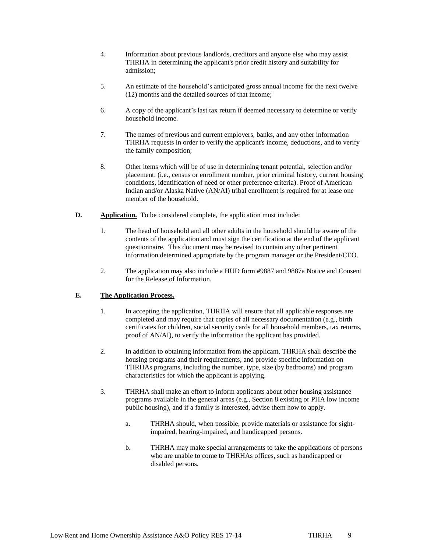- 4. Information about previous landlords, creditors and anyone else who may assist THRHA in determining the applicant's prior credit history and suitability for admission;
- 5. An estimate of the household's anticipated gross annual income for the next twelve (12) months and the detailed sources of that income;
- 6. A copy of the applicant's last tax return if deemed necessary to determine or verify household income.
- 7. The names of previous and current employers, banks, and any other information THRHA requests in order to verify the applicant's income, deductions, and to verify the family composition;
- 8. Other items which will be of use in determining tenant potential, selection and/or placement. (i.e., census or enrollment number, prior criminal history, current housing conditions, identification of need or other preference criteria). Proof of American Indian and/or Alaska Native (AN/AI) tribal enrollment is required for at lease one member of the household.
- **D. Application.** To be considered complete, the application must include:
	- 1. The head of household and all other adults in the household should be aware of the contents of the application and must sign the certification at the end of the applicant questionnaire. This document may be revised to contain any other pertinent information determined appropriate by the program manager or the President/CEO.
	- 2. The application may also include a HUD form #9887 and 9887a Notice and Consent for the Release of Information.

### **E. The Application Process.**

- 1. In accepting the application, THRHA will ensure that all applicable responses are completed and may require that copies of all necessary documentation (e.g., birth certificates for children, social security cards for all household members, tax returns, proof of AN/AI), to verify the information the applicant has provided.
- 2. In addition to obtaining information from the applicant, THRHA shall describe the housing programs and their requirements, and provide specific information on THRHAs programs, including the number, type, size (by bedrooms) and program characteristics for which the applicant is applying.
- 3. THRHA shall make an effort to inform applicants about other housing assistance programs available in the general areas (e.g., Section 8 existing or PHA low income public housing), and if a family is interested, advise them how to apply.
	- a. THRHA should, when possible, provide materials or assistance for sightimpaired, hearing-impaired, and handicapped persons.
	- b. THRHA may make special arrangements to take the applications of persons who are unable to come to THRHAs offices, such as handicapped or disabled persons.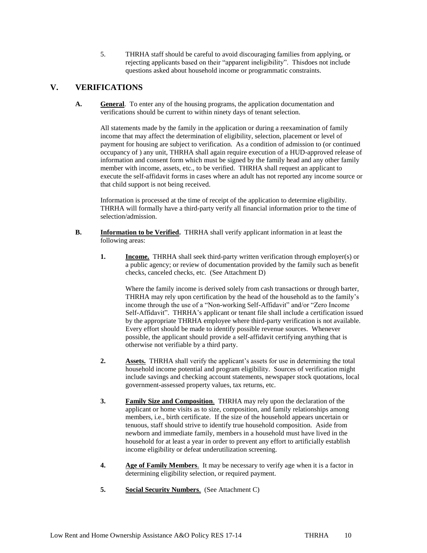5. THRHA staff should be careful to avoid discouraging families from applying, or rejecting applicants based on their "apparent ineligibility". Thisdoes not include questions asked about household income or programmatic constraints.

### **V. VERIFICATIONS**

**A. General**. To enter any of the housing programs, the application documentation and verifications should be current to within ninety days of tenant selection.

All statements made by the family in the application or during a reexamination of family income that may affect the determination of eligibility, selection, placement or level of payment for housing are subject to verification. As a condition of admission to (or continued occupancy of ) any unit, THRHA shall again require execution of a HUD-approved release of information and consent form which must be signed by the family head and any other family member with income, assets, etc., to be verified. THRHA shall request an applicant to execute the self-affidavit forms in cases where an adult has not reported any income source or that child support is not being received.

Information is processed at the time of receipt of the application to determine eligibility. THRHA will formally have a third-party verify all financial information prior to the time of selection/admission.

- **B. Information to be Verified.** THRHA shall verify applicant information in at least the following areas:
	- **1. Income.** THRHA shall seek third-party written verification through employer(s) or a public agency; or review of documentation provided by the family such as benefit checks, canceled checks, etc. (See Attachment D)

Where the family income is derived solely from cash transactions or through barter, THRHA may rely upon certification by the head of the household as to the family's income through the use of a "Non-working Self-Affidavit" and/or "Zero Income Self-Affidavit". THRHA's applicant or tenant file shall include a certification issued by the appropriate THRHA employee where third-party verification is not available. Every effort should be made to identify possible revenue sources. Whenever possible, the applicant should provide a self-affidavit certifying anything that is otherwise not verifiable by a third party.

- **2. Assets.** THRHA shall verify the applicant's assets for use in determining the total household income potential and program eligibility. Sources of verification might include savings and checking account statements, newspaper stock quotations, local government-assessed property values, tax returns, etc.
- **3. Family Size and Composition**. THRHA may rely upon the declaration of the applicant or home visits as to size, composition, and family relationships among members, i.e., birth certificate. If the size of the household appears uncertain or tenuous, staff should strive to identify true household composition. Aside from newborn and immediate family, members in a household must have lived in the household for at least a year in order to prevent any effort to artificially establish income eligibility or defeat underutilization screening.
- **4. Age of Family Members**. It may be necessary to verify age when it is a factor in determining eligibility selection, or required payment.
- **5. Social Security Numbers**. (See Attachment C)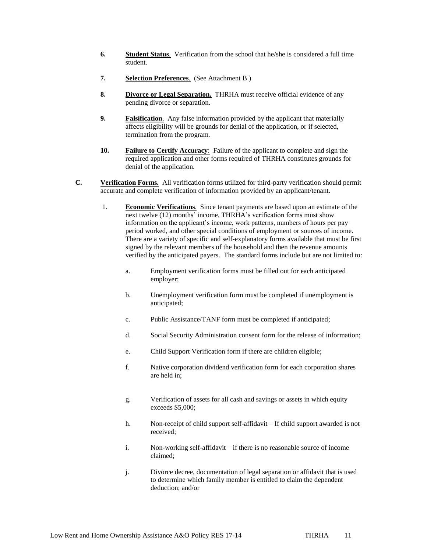- **6. Student Status**. Verification from the school that he/she is considered a full time student.
- **7. Selection Preferences**. (See Attachment B )
- **8. Divorce or Legal Separation.** THRHA must receive official evidence of any pending divorce or separation.
- **9. Falsification**. Any false information provided by the applicant that materially affects eligibility will be grounds for denial of the application, or if selected, termination from the program.
- **10. Failure to Certify Accuracy**: Failure of the applicant to complete and sign the required application and other forms required of THRHA constitutes grounds for denial of the application.
- **C. Verification Forms.** All verification forms utilized for third-party verification should permit accurate and complete verification of information provided by an applicant/tenant.
	- 1. **Economic Verifications**. Since tenant payments are based upon an estimate of the next twelve (12) months' income, THRHA's verification forms must show information on the applicant's income, work patterns, numbers of hours per pay period worked, and other special conditions of employment or sources of income. There are a variety of specific and self-explanatory forms available that must be first signed by the relevant members of the household and then the revenue amounts verified by the anticipated payers. The standard forms include but are not limited to:
		- a. Employment verification forms must be filled out for each anticipated employer;
		- b. Unemployment verification form must be completed if unemployment is anticipated;
		- c. Public Assistance/TANF form must be completed if anticipated;
		- d. Social Security Administration consent form for the release of information;
		- e. Child Support Verification form if there are children eligible;
		- f. Native corporation dividend verification form for each corporation shares are held in;
		- g. Verification of assets for all cash and savings or assets in which equity exceeds \$5,000;
		- h. Non-receipt of child support self-affidavit If child support awarded is not received;
		- i. Non-working self-affidavit if there is no reasonable source of income claimed;
		- j. Divorce decree, documentation of legal separation or affidavit that is used to determine which family member is entitled to claim the dependent deduction; and/or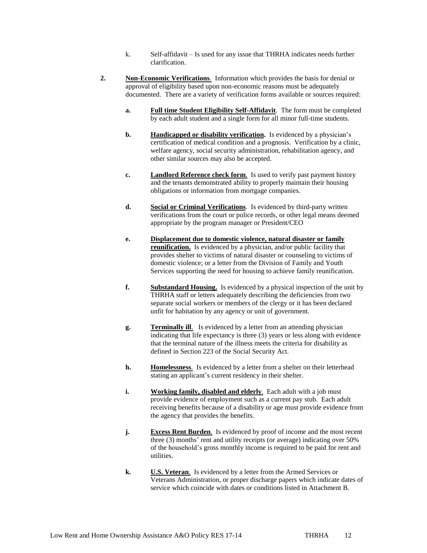- k. Self-affidavit Is used for any issue that THRHA indicates needs further clarification.
- **2. Non-Economic Verifications**. Information which provides the basis for denial or approval of eligibility based upon non-economic reasons must be adequately documented. There are a variety of verification forms available or sources required:
	- **a. Full time Student Eligibility Self-Affidavit**. The form must be completed by each adult student and a single form for all minor full-time students.
	- **b. Handicapped or disability verification.** Is evidenced by a physician's certification of medical condition and a prognosis. Verification by a clinic, welfare agency, social security administration, rehabilitation agency, and other similar sources may also be accepted.
	- **c. Landlord Reference check form**. Is used to verify past payment history and the tenants demonstrated ability to properly maintain their housing obligations or information from mortgage companies.
	- **d. Social or Criminal Verifications**. Is evidenced by third-party written verifications from the court or police records, or other legal means deemed appropriate by the program manager or President/CEO
	- **e. Displacement due to domestic violence, natural disaster or family reunification.** Is evidenced by a physician, and/or public facility that provides shelter to victims of natural disaster or counseling to victims of domestic violence; or a letter from the Division of Family and Youth Services supporting the need for housing to achieve family reunification.
	- **f. Substandard Housing.** Is evidenced by a physical inspection of the unit by THRHA staff or letters adequately describing the deficiencies from two separate social workers or members of the clergy or it has been declared unfit for habitation by any agency or unit of government.
	- **g. Terminally ill**. Is evidenced by a letter from an attending physician indicating that life expectancy is three (3) years or less along with evidence that the terminal nature of the illness meets the criteria for disability as defined in Section 223 of the Social Security Act.
	- **h. Homelessness**. Is evidenced by a letter from a shelter on their letterhead stating an applicant's current residency in their shelter.
	- **i. Working family, disabled and elderly**. Each adult with a job must provide evidence of employment such as a current pay stub. Each adult receiving benefits because of a disability or age must provide evidence from the agency that provides the benefits.
	- **j. Excess Rent Burden**. Is evidenced by proof of income and the most recent three (3) months' rent and utility receipts (or average) indicating over 50% of the household's gross monthly income is required to be paid for rent and utilities.
	- **k. U.S. Veteran**. Is evidenced by a letter from the Armed Services or Veterans Administration, or proper discharge papers which indicate dates of service which coincide with dates or conditions listed in Attachment B.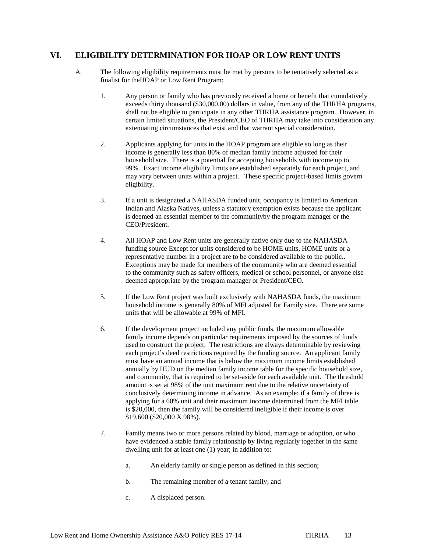### **VI. ELIGIBILITY DETERMINATION FOR HOAP OR LOW RENT UNITS**

- A. The following eligibility requirements must be met by persons to be tentatively selected as a finalist for theHOAP or Low Rent Program:
	- 1. Any person or family who has previously received a home or benefit that cumulatively exceeds thirty thousand (\$30,000.00) dollars in value, from any of the THRHA programs, shall not be eligible to participate in any other THRHA assistance program. However, in certain limited situations, the President/CEO of THRHA may take into consideration any extenuating circumstances that exist and that warrant special consideration.
	- 2. Applicants applying for units in the HOAP program are eligible so long as their income is generally less than 80% of median family income adjusted for their household size. There is a potential for accepting households with income up to 99%. Exact income eligibility limits are established separately for each project, and may vary between units within a project. These specific project-based limits govern eligibility.
	- 3. If a unit is designated a NAHASDA funded unit, occupancy is limited to American Indian and Alaska Natives, unless a statutory exemption exists because the applicant is deemed an essential member to the communityby the program manager or the CEO/President.
	- 4. All HOAP and Low Rent units are generally native only due to the NAHASDA funding source Except for units considered to be HOME units, HOME units or a representative number in a project are to be considered available to the public.. Exceptions may be made for members of the community who are deemed essential to the community such as safety officers, medical or school personnel, or anyone else deemed appropriate by the program manager or President/CEO.
	- 5. If the Low Rent project was built exclusively with NAHASDA funds, the maximum household income is generally 80% of MFI adjusted for Family size. There are some units that will be allowable at 99% of MFI.
	- 6. If the development project included any public funds, the maximum allowable family income depends on particular requirements imposed by the sources of funds used to construct the project. The restrictions are always determinable by reviewing each project's deed restrictions required by the funding source. An applicant family must have an annual income that is below the maximum income limits established annually by HUD on the median family income table for the specific household size, and community, that is required to be set-aside for each available unit. The threshold amount is set at 98% of the unit maximum rent due to the relative uncertainty of conclusively determining income in advance. As an example: if a family of three is applying for a 60% unit and their maximum income determined from the MFI table is \$20,000, then the family will be considered ineligible if their income is over \$19,600 (\$20,000 X 98%).
	- 7. Family means two or more persons related by blood, marriage or adoption, or who have evidenced a stable family relationship by living regularly together in the same dwelling unit for at least one (1) year; in addition to:
		- a. An elderly family or single person as defined in this section;
		- b. The remaining member of a tenant family; and
		- c. A displaced person.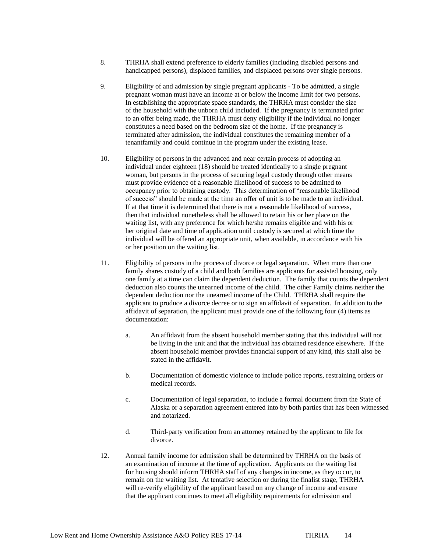- 8. THRHA shall extend preference to elderly families (including disabled persons and handicapped persons), displaced families, and displaced persons over single persons.
- 9. Eligibility of and admission by single pregnant applicants To be admitted, a single pregnant woman must have an income at or below the income limit for two persons. In establishing the appropriate space standards, the THRHA must consider the size of the household with the unborn child included. If the pregnancy is terminated prior to an offer being made, the THRHA must deny eligibility if the individual no longer constitutes a need based on the bedroom size of the home. If the pregnancy is terminated after admission, the individual constitutes the remaining member of a tenantfamily and could continue in the program under the existing lease.
- 10. Eligibility of persons in the advanced and near certain process of adopting an individual under eighteen (18) should be treated identically to a single pregnant woman, but persons in the process of securing legal custody through other means must provide evidence of a reasonable likelihood of success to be admitted to occupancy prior to obtaining custody. This determination of "reasonable likelihood of success" should be made at the time an offer of unit is to be made to an individual. If at that time it is determined that there is not a reasonable likelihood of success, then that individual nonetheless shall be allowed to retain his or her place on the waiting list, with any preference for which he/she remains eligible and with his or her original date and time of application until custody is secured at which time the individual will be offered an appropriate unit, when available, in accordance with his or her position on the waiting list.
- 11. Eligibility of persons in the process of divorce or legal separation. When more than one family shares custody of a child and both families are applicants for assisted housing, only one family at a time can claim the dependent deduction. The family that counts the dependent deduction also counts the unearned income of the child. The other Family claims neither the dependent deduction nor the unearned income of the Child. THRHA shall require the applicant to produce a divorce decree or to sign an affidavit of separation. In addition to the affidavit of separation, the applicant must provide one of the following four (4) items as documentation:
	- a. An affidavit from the absent household member stating that this individual will not be living in the unit and that the individual has obtained residence elsewhere. If the absent household member provides financial support of any kind, this shall also be stated in the affidavit.
	- b. Documentation of domestic violence to include police reports, restraining orders or medical records.
	- c. Documentation of legal separation, to include a formal document from the State of Alaska or a separation agreement entered into by both parties that has been witnessed and notarized.
	- d. Third-party verification from an attorney retained by the applicant to file for divorce.
- 12. Annual family income for admission shall be determined by THRHA on the basis of an examination of income at the time of application. Applicants on the waiting list for housing should inform THRHA staff of any changes in income, as they occur, to remain on the waiting list. At tentative selection or during the finalist stage, THRHA will re-verify eligibility of the applicant based on any change of income and ensure that the applicant continues to meet all eligibility requirements for admission and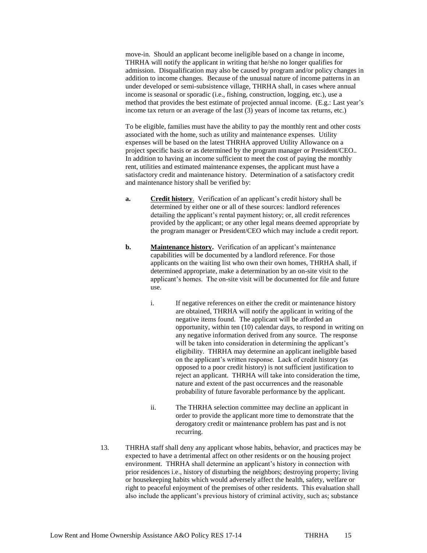move-in. Should an applicant become ineligible based on a change in income, THRHA will notify the applicant in writing that he/she no longer qualifies for admission. Disqualification may also be caused by program and/or policy changes in addition to income changes. Because of the unusual nature of income patterns in an under developed or semi-subsistence village, THRHA shall, in cases where annual income is seasonal or sporadic (i.e., fishing, construction, logging, etc.), use a method that provides the best estimate of projected annual income. (E.g.: Last year's income tax return or an average of the last (3) years of income tax returns, etc.)

To be eligible, families must have the ability to pay the monthly rent and other costs associated with the home, such as utility and maintenance expenses. Utility expenses will be based on the latest THRHA approved Utility Allowance on a project specific basis or as determined by the program manager or President/CEO.. In addition to having an income sufficient to meet the cost of paying the monthly rent, utilities and estimated maintenance expenses, the applicant must have a satisfactory credit and maintenance history. Determination of a satisfactory credit and maintenance history shall be verified by:

- **a. Credit history**. Verification of an applicant's credit history shall be determined by either one or all of these sources: landlord references detailing the applicant's rental payment history; or, all credit references provided by the applicant; or any other legal means deemed appropriate by the program manager or President/CEO which may include a credit report.
- **b. Maintenance history.** Verification of an applicant's maintenance capabilities will be documented by a landlord reference. For those applicants on the waiting list who own their own homes, THRHA shall, if determined appropriate, make a determination by an on-site visit to the applicant's homes. The on-site visit will be documented for file and future use.
	- i. If negative references on either the credit or maintenance history are obtained, THRHA will notify the applicant in writing of the negative items found. The applicant will be afforded an opportunity, within ten (10) calendar days, to respond in writing on any negative information derived from any source. The response will be taken into consideration in determining the applicant's eligibility. THRHA may determine an applicant ineligible based on the applicant's written response. Lack of credit history (as opposed to a poor credit history) is not sufficient justification to reject an applicant. THRHA will take into consideration the time, nature and extent of the past occurrences and the reasonable probability of future favorable performance by the applicant.
	- ii. The THRHA selection committee may decline an applicant in order to provide the applicant more time to demonstrate that the derogatory credit or maintenance problem has past and is not recurring.
- 13. THRHA staff shall deny any applicant whose habits, behavior, and practices may be expected to have a detrimental affect on other residents or on the housing project environment. THRHA shall determine an applicant's history in connection with prior residences i.e., history of disturbing the neighbors; destroying property; living or housekeeping habits which would adversely affect the health, safety, welfare or right to peaceful enjoyment of the premises of other residents. This evaluation shall also include the applicant's previous history of criminal activity, such as; substance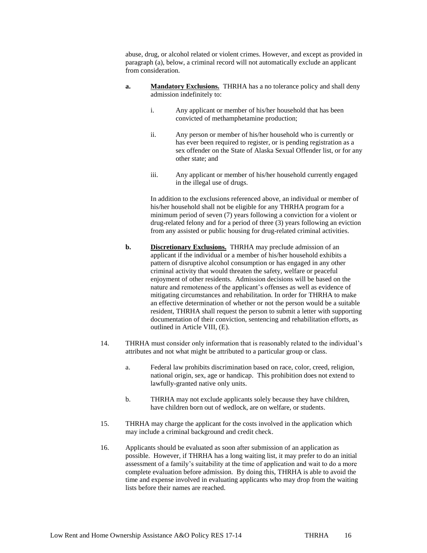abuse, drug, or alcohol related or violent crimes. However, and except as provided in paragraph (a), below, a criminal record will not automatically exclude an applicant from consideration.

- **a. Mandatory Exclusions.** THRHA has a no tolerance policy and shall deny admission indefinitely to:
	- i. Any applicant or member of his/her household that has been convicted of methamphetamine production;
	- ii. Any person or member of his/her household who is currently or has ever been required to register, or is pending registration as a sex offender on the State of Alaska Sexual Offender list, or for any other state; and
	- iii. Any applicant or member of his/her household currently engaged in the illegal use of drugs.

In addition to the exclusions referenced above, an individual or member of his/her household shall not be eligible for any THRHA program for a minimum period of seven (7) years following a conviction for a violent or drug-related felony and for a period of three (3) years following an eviction from any assisted or public housing for drug-related criminal activities.

- **b. Discretionary Exclusions.** THRHA may preclude admission of an applicant if the individual or a member of his/her household exhibits a pattern of disruptive alcohol consumption or has engaged in any other criminal activity that would threaten the safety, welfare or peaceful enjoyment of other residents. Admission decisions will be based on the nature and remoteness of the applicant's offenses as well as evidence of mitigating circumstances and rehabilitation. In order for THRHA to make an effective determination of whether or not the person would be a suitable resident, THRHA shall request the person to submit a letter with supporting documentation of their conviction, sentencing and rehabilitation efforts, as outlined in Article VIII, (E).
- 14. THRHA must consider only information that is reasonably related to the individual's attributes and not what might be attributed to a particular group or class.
	- a. Federal law prohibits discrimination based on race, color, creed, religion, national origin, sex, age or handicap. This prohibition does not extend to lawfully-granted native only units.
	- b. THRHA may not exclude applicants solely because they have children, have children born out of wedlock, are on welfare, or students.
- 15. THRHA may charge the applicant for the costs involved in the application which may include a criminal background and credit check.
- 16. Applicants should be evaluated as soon after submission of an application as possible. However, if THRHA has a long waiting list, it may prefer to do an initial assessment of a family's suitability at the time of application and wait to do a more complete evaluation before admission. By doing this, THRHA is able to avoid the time and expense involved in evaluating applicants who may drop from the waiting lists before their names are reached.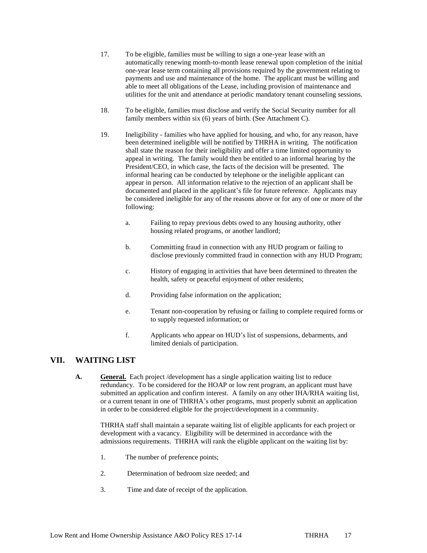- 17. To be eligible, families must be willing to sign a one-year lease with an automatically renewing month-to-month lease renewal upon completion of the initial one-year lease term containing all provisions required by the government relating to payments and use and maintenance of the home. The applicant must be willing and able to meet all obligations of the Lease, including provision of maintenance and utilities for the unit and attendance at periodic mandatory tenant counseling sessions.
- 18. To be eligible, families must disclose and verify the Social Security number for all family members within six (6) years of birth. (See Attachment C).
- 19. Ineligibility families who have applied for housing, and who, for any reason, have been determined ineligible will be notified by THRHA in writing. The notification shall state the reason for their ineligibility and offer a time limited opportunity to appeal in writing. The family would then be entitled to an informal hearing by the President/CEO, in which case, the facts of the decision will be presented. The informal hearing can be conducted by telephone or the ineligible applicant can appear in person. All information relative to the rejection of an applicant shall be documented and placed in the applicant's file for future reference. Applicants may be considered ineligible for any of the reasons above or for any of one or more of the following:
	- a. Failing to repay previous debts owed to any housing authority, other housing related programs, or another landlord;
	- b. Committing fraud in connection with any HUD program or failing to disclose previously committed fraud in connection with any HUD Program;
	- c. History of engaging in activities that have been determined to threaten the health, safety or peaceful enjoyment of other residents;
	- d. Providing false information on the application;
	- e. Tenant non-cooperation by refusing or failing to complete required forms or to supply requested information; or
	- f. Applicants who appear on HUD's list of suspensions, debarments, and limited denials of participation.

### **VII. WAITING LIST**

**A. General.** Each project /development has a single application waiting list to reduce redundancy. To be considered for the HOAP or low rent program, an applicant must have submitted an application and confirm interest. A family on any other IHA/RHA waiting list, or a current tenant in one of THRHA's other programs, must properly submit an application in order to be considered eligible for the project/development in a community.

THRHA staff shall maintain a separate waiting list of eligible applicants for each project or development with a vacancy. Eligibility will be determined in accordance with the admissions requirements. THRHA will rank the eligible applicant on the waiting list by:

- 1. The number of preference points;
- 2. Determination of bedroom size needed; and
- 3. Time and date of receipt of the application.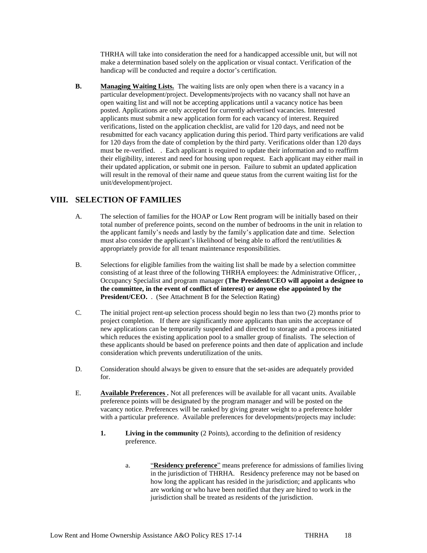THRHA will take into consideration the need for a handicapped accessible unit, but will not make a determination based solely on the application or visual contact. Verification of the handicap will be conducted and require a doctor's certification.

**B. Managing Waiting Lists.** The waiting lists are only open when there is a vacancy in a particular development/project. Developments/projects with no vacancy shall not have an open waiting list and will not be accepting applications until a vacancy notice has been posted. Applications are only accepted for currently advertised vacancies. Interested applicants must submit a new application form for each vacancy of interest. Required verifications, listed on the application checklist, are valid for 120 days, and need not be resubmitted for each vacancy application during this period. Third party verifications are valid for 120 days from the date of completion by the third party. Verifications older than 120 days must be re-verified. . Each applicant is required to update their information and to reaffirm their eligibility, interest and need for housing upon request. Each applicant may either mail in their updated application, or submit one in person. Failure to submit an updated application will result in the removal of their name and queue status from the current waiting list for the unit/development/project.

## **VIII. SELECTION OF FAMILIES**

- A. The selection of families for the HOAP or Low Rent program will be initially based on their total number of preference points, second on the number of bedrooms in the unit in relation to the applicant family's needs and lastly by the family's application date and time. Selection must also consider the applicant's likelihood of being able to afford the rent/utilities & appropriately provide for all tenant maintenance responsibilities.
- B. Selections for eligible families from the waiting list shall be made by a selection committee consisting of at least three of the following THRHA employees: the Administrative Officer, , Occupancy Specialist and program manager **(The President/CEO will appoint a designee to the committee, in the event of conflict of interest) or anyone else appointed by the President/CEO.** . (See Attachment B for the Selection Rating)
- C. The initial project rent-up selection process should begin no less than two (2) months prior to project completion. If there are significantly more applicants than units the acceptance of new applications can be temporarily suspended and directed to storage and a process initiated which reduces the existing application pool to a smaller group of finalists. The selection of these applicants should be based on preference points and then date of application and include consideration which prevents underutilization of the units.
- D. Consideration should always be given to ensure that the set-asides are adequately provided for.
- E. **Available Preferences .** Not all preferences will be available for all vacant units. Available preference points will be designated by the program manager and will be posted on the vacancy notice. Preferences will be ranked by giving greater weight to a preference holder with a particular preference. Available preferences for developments/projects may include:
	- **1. Living in the community** (2 Points), according to the definition of residency preference.
		- a. "**Residency preference**" means preference for admissions of families living in the jurisdiction of THRHA. Residency preference may not be based on how long the applicant has resided in the jurisdiction; and applicants who are working or who have been notified that they are hired to work in the jurisdiction shall be treated as residents of the jurisdiction.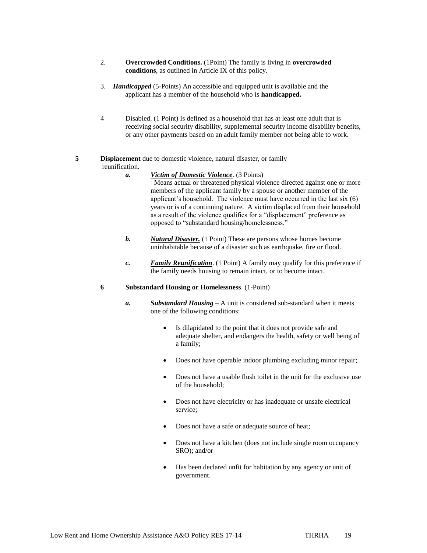- 2. **Overcrowded Conditions.** (1Point) The family is living in **overcrowded conditions**, as outlined in Article IX of this policy.
- 3. *Handicapped* (5-Points) An accessible and equipped unit is available and the applicant has a member of the household who is **handicapped.**
- 4 Disabled. (1 Point) Is defined as a household that has at least one adult that is receiving social security disability, supplemental security income disability benefits, or any other payments based on an adult family member not being able to work.

#### **5 Displacement** due to domestic violence, natural disaster, or family reunification.

- *a. Victim of Domestic Violence*. (3 Points) Means actual or threatened physical violence directed against one or more members of the applicant family by a spouse or another member of the applicant's household. The violence must have occurred in the last six (6) years or is of a continuing nature. A victim displaced from their household as a result of the violence qualifies for a "displacement" preference as opposed to "substandard housing/homelessness."
- *b. Natural Disaster.* (1 Point) These are persons whose homes become uninhabitable because of a disaster such as earthquake, fire or flood.
- *c. Family Reunification*. (1 Point) A family may qualify for this preference if the family needs housing to remain intact, or to become intact.

#### **6 Substandard Housing or Homelessness**. (1-Point)

- *a. Substandard Housing* A unit is considered sub-standard when it meets one of the following conditions:
	- Is dilapidated to the point that it does not provide safe and adequate shelter, and endangers the health, safety or well being of a family;
	- Does not have operable indoor plumbing excluding minor repair;
	- Does not have a usable flush toilet in the unit for the exclusive use of the household;
	- Does not have electricity or has inadequate or unsafe electrical service;
	- Does not have a safe or adequate source of heat;
	- Does not have a kitchen (does not include single room occupancy SRO); and/or
	- Has been declared unfit for habitation by any agency or unit of government.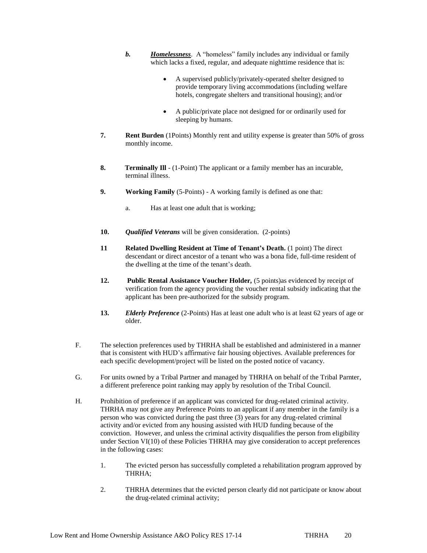- *b. Homelessness*. A "homeless" family includes any individual or family which lacks a fixed, regular, and adequate nighttime residence that is:
	- A supervised publicly/privately-operated shelter designed to provide temporary living accommodations (including welfare hotels, congregate shelters and transitional housing); and/or
	- A public/private place not designed for or ordinarily used for sleeping by humans.
- **7. Rent Burden** (1Points) Monthly rent and utility expense is greater than 50% of gross monthly income.
- **8. Terminally III** (1-Point) The applicant or a family member has an incurable, terminal illness.
- **9. Working Family** (5-Points) A working family is defined as one that:
	- a. Has at least one adult that is working;
- **10.** *Qualified Veterans* will be given consideration. (2-points)
- **11 Related Dwelling Resident at Time of Tenant's Death.** (1 point) The direct descendant or direct ancestor of a tenant who was a bona fide, full-time resident of the dwelling at the time of the tenant's death.
- **12. Public Rental Assistance Voucher Holder***,* (5 points)as evidenced by receipt of verification from the agency providing the voucher rental subsidy indicating that the applicant has been pre-authorized for the subsidy program.
- **13.** *Elderly Preference* (2-Points) Has at least one adult who is at least 62 years of age or older.
- F. The selection preferences used by THRHA shall be established and administered in a manner that is consistent with HUD's affirmative fair housing objectives. Available preferences for each specific development/project will be listed on the posted notice of vacancy.
- G. For units owned by a Tribal Partner and managed by THRHA on behalf of the Tribal Parnter, a different preference point ranking may apply by resolution of the Tribal Council.
- H. Prohibition of preference if an applicant was convicted for drug-related criminal activity. THRHA may not give any Preference Points to an applicant if any member in the family is a person who was convicted during the past three (3) years for any drug-related criminal activity and/or evicted from any housing assisted with HUD funding because of the conviction. However, and unless the criminal activity disqualifies the person from eligibility under Section VI(10) of these Policies THRHA may give consideration to accept preferences in the following cases:
	- 1. The evicted person has successfully completed a rehabilitation program approved by THRHA;
	- 2. THRHA determines that the evicted person clearly did not participate or know about the drug-related criminal activity;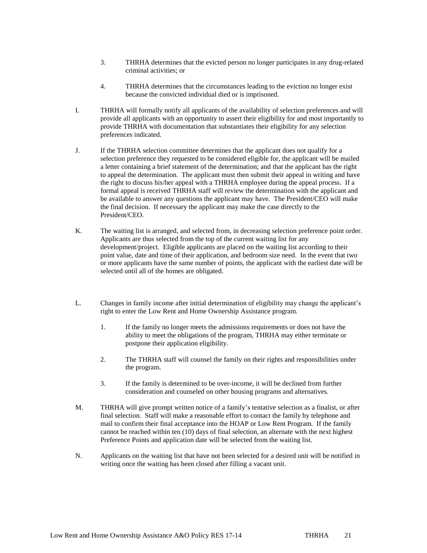- 3. THRHA determines that the evicted person no longer participates in any drug-related criminal activities; or
- 4. THRHA determines that the circumstances leading to the eviction no longer exist because the convicted individual died or is imprisoned.
- I. THRHA will formally notify all applicants of the availability of selection preferences and will provide all applicants with an opportunity to assert their eligibility for and most importantly to provide THRHA with documentation that substantiates their eligibility for any selection preferences indicated.
- J. If the THRHA selection committee determines that the applicant does not qualify for a selection preference they requested to be considered eligible for, the applicant will be mailed a letter containing a brief statement of the determination; and that the applicant has the right to appeal the determination. The applicant must then submit their appeal in writing and have the right to discuss his/her appeal with a THRHA employee during the appeal process. If a formal appeal is received THRHA staff will review the determination with the applicant and be available to answer any questions the applicant may have. The President/CEO will make the final decision. If necessary the applicant may make the case directly to the President/CEO.
- K. The waiting list is arranged, and selected from, in decreasing selection preference point order. Applicants are thus selected from the top of the current waiting list for any development/project. Eligible applicants are placed on the waiting list according to their point value, date and time of their application, and bedroom size need. In the event that two or more applicants have the same number of points, the applicant with the earliest date will be selected until all of the homes are obligated.
- L. Changes in family income after initial determination of eligibility may change the applicant's right to enter the Low Rent and Home Ownership Assistance program.
	- 1. If the family no longer meets the admissions requirements or does not have the ability to meet the obligations of the program, THRHA may either terminate or postpone their application eligibility.
	- 2. The THRHA staff will counsel the family on their rights and responsibilities under the program.
	- 3. If the family is determined to be over-income, it will be declined from further consideration and counseled on other housing programs and alternatives.
- M. THRHA will give prompt written notice of a family's tentative selection as a finalist, or after final selection. Staff will make a reasonable effort to contact the family by telephone and mail to confirm their final acceptance into the HOAP or Low Rent Program. If the family cannot be reached within ten (10) days of final selection, an alternate with the next highest Preference Points and application date will be selected from the waiting list.
- N. Applicants on the waiting list that have not been selected for a desired unit will be notified in writing once the waiting has been closed after filling a vacant unit.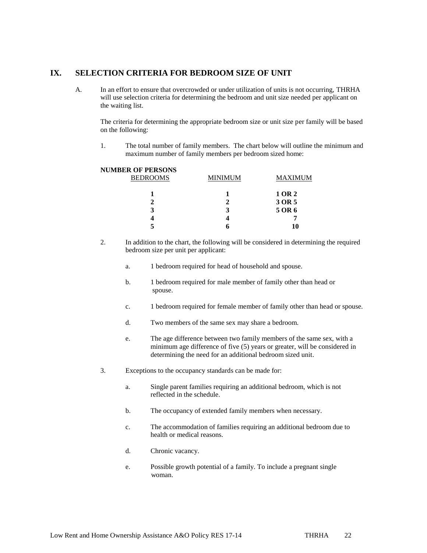### **IX. SELECTION CRITERIA FOR BEDROOM SIZE OF UNIT**

A. In an effort to ensure that overcrowded or under utilization of units is not occurring, THRHA will use selection criteria for determining the bedroom and unit size needed per applicant on the waiting list.

The criteria for determining the appropriate bedroom size or unit size per family will be based on the following:

1. The total number of family members. The chart below will outline the minimum and maximum number of family members per bedroom sized home:

#### **NUMBER OF PERSONS**

| LVI LLIWOND<br><b>BEDROOMS</b> | <b>MINIMUM</b> | MAXIMUM |  |  |
|--------------------------------|----------------|---------|--|--|
|                                |                | 1 OR 2  |  |  |
|                                |                | 3 OR 5  |  |  |
| 3                              |                | 5 OR 6  |  |  |
|                                |                |         |  |  |
|                                |                | 10      |  |  |

- 2. In addition to the chart, the following will be considered in determining the required bedroom size per unit per applicant:
	- a. 1 bedroom required for head of household and spouse.
	- b. 1 bedroom required for male member of family other than head or spouse.
	- c. 1 bedroom required for female member of family other than head or spouse.
	- d. Two members of the same sex may share a bedroom.
	- e. The age difference between two family members of the same sex, with a minimum age difference of five (5) years or greater, will be considered in determining the need for an additional bedroom sized unit.
- 3. Exceptions to the occupancy standards can be made for:
	- a. Single parent families requiring an additional bedroom, which is not reflected in the schedule.
	- b. The occupancy of extended family members when necessary.
	- c. The accommodation of families requiring an additional bedroom due to health or medical reasons.
	- d. Chronic vacancy.
	- e. Possible growth potential of a family. To include a pregnant single woman.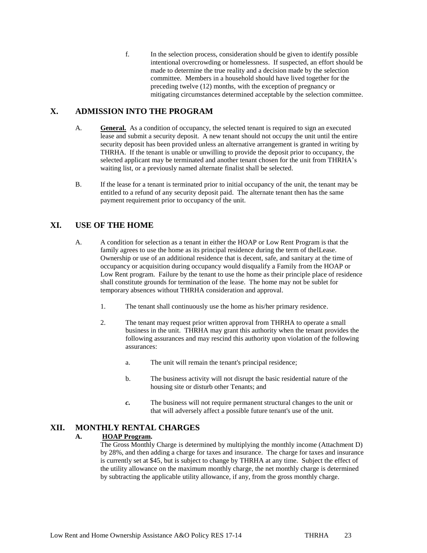f. In the selection process, consideration should be given to identify possible intentional overcrowding or homelessness. If suspected, an effort should be made to determine the true reality and a decision made by the selection committee. Members in a household should have lived together for the preceding twelve (12) months, with the exception of pregnancy or mitigating circumstances determined acceptable by the selection committee.

## **X. ADMISSION INTO THE PROGRAM**

- A. **General.** As a condition of occupancy, the selected tenant is required to sign an executed lease and submit a security deposit. A new tenant should not occupy the unit until the entire security deposit has been provided unless an alternative arrangement is granted in writing by THRHA. If the tenant is unable or unwilling to provide the deposit prior to occupancy, the selected applicant may be terminated and another tenant chosen for the unit from THRHA's waiting list, or a previously named alternate finalist shall be selected.
- B. If the lease for a tenant is terminated prior to initial occupancy of the unit, the tenant may be entitled to a refund of any security deposit paid. The alternate tenant then has the same payment requirement prior to occupancy of the unit.

## **XI. USE OF THE HOME**

- A. A condition for selection as a tenant in either the HOAP or Low Rent Program is that the family agrees to use the home as its principal residence during the term of thelLease. Ownership or use of an additional residence that is decent, safe, and sanitary at the time of occupancy or acquisition during occupancy would disqualify a Family from the HOAP or Low Rent program. Failure by the tenant to use the home as their principle place of residence shall constitute grounds for termination of the lease. The home may not be sublet for temporary absences without THRHA consideration and approval.
	- 1. The tenant shall continuously use the home as his/her primary residence.
	- 2. The tenant may request prior written approval from THRHA to operate a small business in the unit. THRHA may grant this authority when the tenant provides the following assurances and may rescind this authority upon violation of the following assurances:
		- a. The unit will remain the tenant's principal residence;
		- b. The business activity will not disrupt the basic residential nature of the housing site or disturb other Tenants; and
		- *c.* The business will not require permanent structural changes to the unit or that will adversely affect a possible future tenant's use of the unit.

### **XII. MONTHLY RENTAL CHARGES**

#### **A. HOAP Program.**

The Gross Monthly Charge is determined by multiplying the monthly income (Attachment D) by 28%, and then adding a charge for taxes and insurance. The charge for taxes and insurance is currently set at \$45, but is subject to change by THRHA at any time. Subject the effect of the utility allowance on the maximum monthly charge, the net monthly charge is determined by subtracting the applicable utility allowance, if any, from the gross monthly charge.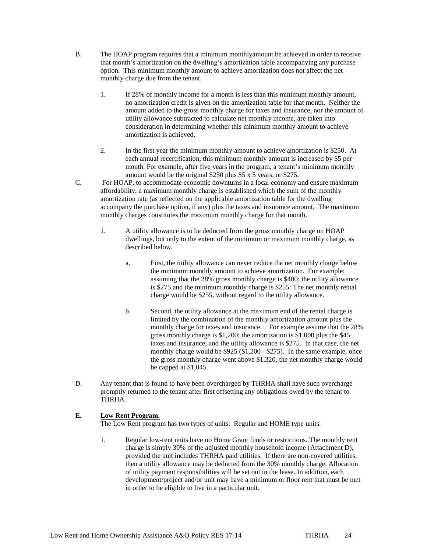- B. The HOAP program requires that a minimum monthlyamount be achieved in order to receive that month's amortization on the dwelling's amortization table accompanying any purchase option. This minimum monthly amount to achieve amortization does not affect the net monthly charge due from the tenant.
	- 1. If 28% of monthly income for a month is less than this minimum monthly amount, no amortization credit is given on the amortization table for that month. Neither the amount added to the gross monthly charge for taxes and insurance, nor the amount of utility allowance subtracted to calculate net monthly income, are taken into consideration in determining whether this minimum monthly amount to achieve amortization is achieved.
	- 2. In the first year the minimum monthly amount to achieve amortization is \$250. At each annual recertification, this minimum monthly amount is increased by \$5 per month. For example, after five years in the program, a tenant's minimum monthly amount would be the original \$250 plus \$5 x 5 years, or \$275.
- C. For HOAP, to accommodate economic downturns in a local economy and ensure maximum affordability, a maximum monthly charge is established which the sum of the monthly amortization rate (as reflected on the applicable amortization table for the dwelling accompany the purchase option, if any) plus the taxes and insurance amount. The maximum monthly charges constitutes the maximum monthly charge for that month.
	- 1. A utility allowance is to be deducted from the gross monthly charge on HOAP dwellings, but only to the extent of the minimum or maximum monthly charge, as described below.
		- a. First, the utility allowance can never reduce the net monthly charge below the minimum monthly amount to achieve amortization. For example: assuming that the 28% gross monthly charge is \$400; the utility allowance is \$275 and the minimum monthly charge is \$255: The net monthly rental charge would be \$255, without regard to the utility allowance.
		- b. Second, the utility allowance at the maximum end of the rental charge is limited by the combination of the monthly amortization amount plus the monthly charge for taxes and insurance. For example assume that the 28% gross monthly charge is \$1,200; the amortization is \$1,000 plus the \$45 taxes and insurance; and the utility allowance is \$275. In that case, the net monthly charge would be \$925 (\$1,200 - \$275). In the same example, once the gross monthly charge went above \$1,320, the net monthly charge would be capped at \$1,045.
- D. Any tenant that is found to have been overcharged by THRHA shall have such overcharge promptly returned to the tenant after first offsetting any obligations owed by the tenant to THRHA.

### **E. Low Rent Program.**

The Low Rent program has two types of units: Regular and HOME type units.

1. Regular low-rent units have no Home Grant funds or restrictions. The monthly rent charge is simply 30% of the adjusted monthly household income (Attachment D), provided the unit includes THRHA paid utilities. If there are non-covered utilities, then a utility allowance may be deducted from the 30% monthly charge. Allocation of utility payment responsibilities will be set out in the lease. In addition, each development/project and/or unit may have a minimum or floor rent that must be met in order to be eligible to live in a particular unit.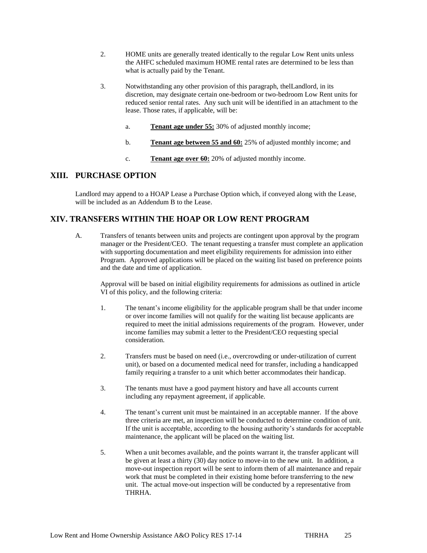- 2. HOME units are generally treated identically to the regular Low Rent units unless the AHFC scheduled maximum HOME rental rates are determined to be less than what is actually paid by the Tenant.
- 3. Notwithstanding any other provision of this paragraph, thelLandlord, in its discretion, may designate certain one-bedroom or two-bedroom Low Rent units for reduced senior rental rates. Any such unit will be identified in an attachment to the lease. Those rates, if applicable, will be:
	- a. **Tenant age under 55:** 30% of adjusted monthly income;
	- b. **Tenant age between 55 and 60:** 25% of adjusted monthly income; and
	- c. **Tenant age over 60:** 20% of adjusted monthly income.

### **XIII. PURCHASE OPTION**

Landlord may append to a HOAP Lease a Purchase Option which, if conveyed along with the Lease, will be included as an Addendum B to the Lease.

## **XIV. TRANSFERS WITHIN THE HOAP OR LOW RENT PROGRAM**

A. Transfers of tenants between units and projects are contingent upon approval by the program manager or the President/CEO. The tenant requesting a transfer must complete an application with supporting documentation and meet eligibility requirements for admission into either Program. Approved applications will be placed on the waiting list based on preference points and the date and time of application.

Approval will be based on initial eligibility requirements for admissions as outlined in article VI of this policy, and the following criteria:

- 1. The tenant's income eligibility for the applicable program shall be that under income or over income families will not qualify for the waiting list because applicants are required to meet the initial admissions requirements of the program. However, under income families may submit a letter to the President/CEO requesting special consideration.
- 2. Transfers must be based on need (i.e., overcrowding or under-utilization of current unit), or based on a documented medical need for transfer, including a handicapped family requiring a transfer to a unit which better accommodates their handicap.
- 3. The tenants must have a good payment history and have all accounts current including any repayment agreement, if applicable.
- 4. The tenant's current unit must be maintained in an acceptable manner. If the above three criteria are met, an inspection will be conducted to determine condition of unit. If the unit is acceptable, according to the housing authority's standards for acceptable maintenance, the applicant will be placed on the waiting list.
- 5. When a unit becomes available, and the points warrant it, the transfer applicant will be given at least a thirty (30) day notice to move-in to the new unit. In addition, a move-out inspection report will be sent to inform them of all maintenance and repair work that must be completed in their existing home before transferring to the new unit. The actual move-out inspection will be conducted by a representative from THRHA.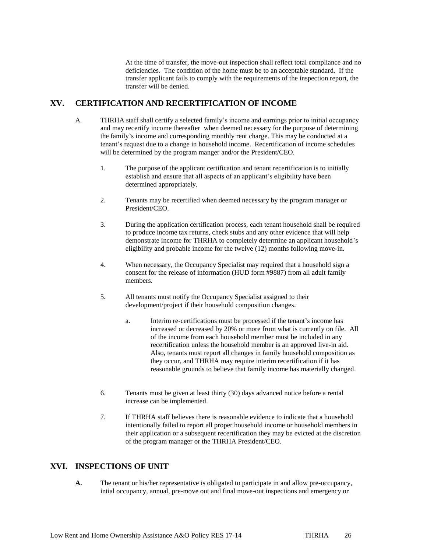At the time of transfer, the move-out inspection shall reflect total compliance and no deficiencies. The condition of the home must be to an acceptable standard. If the transfer applicant fails to comply with the requirements of the inspection report, the transfer will be denied.

### **XV. CERTIFICATION AND RECERTIFICATION OF INCOME**

- A. THRHA staff shall certify a selected family's income and earnings prior to initial occupancy and may recertify income thereafter when deemed necessary for the purpose of determining the family's income and corresponding monthly rent charge. This may be conducted at a tenant's request due to a change in household income. Recertification of income schedules will be determined by the program manger and/or the President/CEO.
	- 1. The purpose of the applicant certification and tenant recertification is to initially establish and ensure that all aspects of an applicant's eligibility have been determined appropriately.
	- 2. Tenants may be recertified when deemed necessary by the program manager or President/CEO.
	- 3. During the application certification process, each tenant household shall be required to produce income tax returns, check stubs and any other evidence that will help demonstrate income for THRHA to completely determine an applicant household's eligibility and probable income for the twelve (12) months following move-in.
	- 4. When necessary, the Occupancy Specialist may required that a household sign a consent for the release of information (HUD form #9887) from all adult family members.
	- 5. All tenants must notify the Occupancy Specialist assigned to their development/project if their household composition changes.
		- a. Interim re-certifications must be processed if the tenant's income has increased or decreased by 20% or more from what is currently on file. All of the income from each household member must be included in any recertification unless the household member is an approved live-in aid. Also, tenants must report all changes in family household composition as they occur, and THRHA may require interim recertification if it has reasonable grounds to believe that family income has materially changed.
	- 6. Tenants must be given at least thirty (30) days advanced notice before a rental increase can be implemented.
	- 7. If THRHA staff believes there is reasonable evidence to indicate that a household intentionally failed to report all proper household income or household members in their application or a subsequent recertification they may be evicted at the discretion of the program manager or the THRHA President/CEO.

### **XVI. INSPECTIONS OF UNIT**

**A.** The tenant or his/her representative is obligated to participate in and allow pre-occupancy, intial occupancy, annual, pre-move out and final move-out inspections and emergency or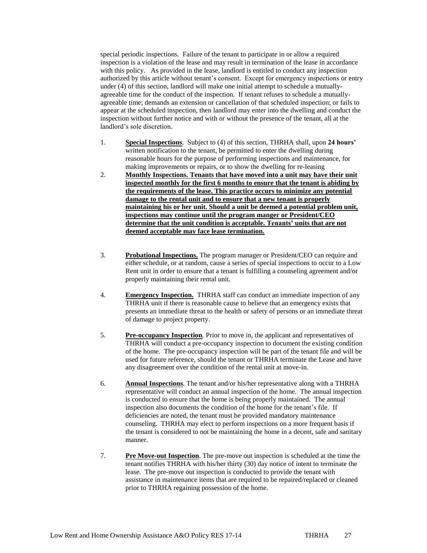special periodic inspections. Failure of the tenant to participate in or allow a required inspection is a violation of the lease and may result in termination of the lease in accordance with this policy. As provided in the lease, landlord is entitled to conduct any inspection authorized by this article without tenant's consent. Except for emergency inspections or entry under (4) of this section, landlord will make one initial attempt to schedule a mutuallyagreeable time for the conduct of the inspection. If tenant refuses to schedule a mutuallyagreeable time; demands an extension or cancellation of that scheduled inspection; or fails to appear at the scheduled inspection, then landlord may enter into the dwelling and conduct the inspection without further notice and with or without the presence of the tenant, all at the landlord's sole discretion.

- 1. **Special Inspections**. Subject to (4) of this section, THRHA shall, upon **24 hours'** written notification to the tenant, be permitted to enter the dwelling during reasonable hours for the purpose of performing inspections and maintenance, for making improvements or repairs, or to show the dwelling for re-leasing
- 2. **Monthly Inspections. Tenants that have moved into a unit may have their unit inspected monthly for the first 6 months to ensure that the tenant is abiding by the requirements of the lease. This practice occurs to minimize any potential damage to the rental unit and to ensure that a new tenant is properly maintaining his or her unit. Should a unit be deemed a potential problem unit, inspections may continue until the program manger or President/CEO determine that the unit condition is acceptable. Tenants' units that are not deemed acceptable may face lease termination.**
- 3. **Probational Inspections.** The program manager or President/CEO can require and either schedule, or at random, cause a series of special inspections to occur to a Low Rent unit in order to ensure that a tenant is fulfilling a counseling agreement and/or properly maintaining their rental unit.
- 4. **Emergency Inspection.** THRHA staff can conduct an immediate inspection of any THRHA unit if there is reasonable cause to believe that an emergency exists that presents an immediate threat to the health or safety of persons or an immediate threat of damage to project property.
- 5. **Pre-occupancy Inspection**. Prior to move in, the applicant and representatives of THRHA will conduct a pre-occupancy inspection to document the existing condition of the home. The pre-occupancy inspection will be part of the tenant file and will be used for future reference, should the tenant or THRHA terminate the Lease and have any disagreement over the condition of the rental unit at move-in.
- 6. **Annual Inspections**. The tenant and/or his/her representative along with a THRHA representative will conduct an annual inspection of the home. The annual inspection is conducted to ensure that the home is being properly maintained. The annual inspection also documents the condition of the home for the tenant's file. If deficiencies are noted, the tenant must be provided mandatory maintenance counseling. THRHA may elect to perform inspections on a more frequent basis if the tenant is considered to not be maintaining the home in a decent, safe and sanitary manner.
- 7. **Pre Move-out Inspection**. The pre-move out inspection is scheduled at the time the tenant notifies THRHA with his/her thirty (30) day notice of intent to terminate the lease. The pre-move out inspection is conducted to provide the tenant with assistance in maintenance items that are required to be repaired/replaced or cleaned prior to THRHA regaining possession of the home.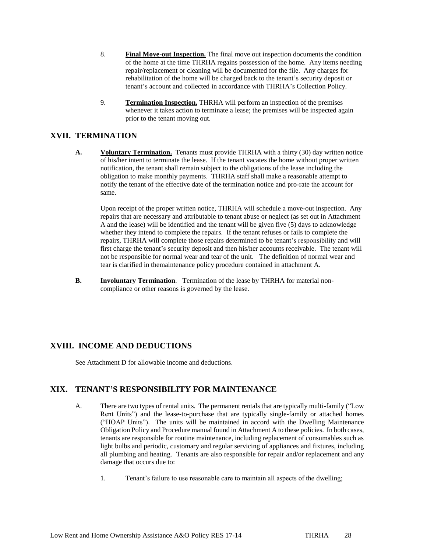- 8. **Final Move-out Inspection.** The final move out inspection documents the condition of the home at the time THRHA regains possession of the home. Any items needing repair/replacement or cleaning will be documented for the file. Any charges for rehabilitation of the home will be charged back to the tenant's security deposit or tenant's account and collected in accordance with THRHA's Collection Policy.
- 9. **Termination Inspection.** THRHA will perform an inspection of the premises whenever it takes action to terminate a lease; the premises will be inspected again prior to the tenant moving out.

### **XVII. TERMINATION**

**A. Voluntary Termination.** Tenants must provide THRHA with a thirty (30) day written notice of his/her intent to terminate the lease. If the tenant vacates the home without proper written notification, the tenant shall remain subject to the obligations of the lease including the obligation to make monthly payments. THRHA staff shall make a reasonable attempt to notify the tenant of the effective date of the termination notice and pro-rate the account for same.

Upon receipt of the proper written notice, THRHA will schedule a move-out inspection. Any repairs that are necessary and attributable to tenant abuse or neglect (as set out in Attachment A and the lease) will be identified and the tenant will be given five (5) days to acknowledge whether they intend to complete the repairs. If the tenant refuses or fails to complete the repairs, THRHA will complete those repairs determined to be tenant's responsibility and will first charge the tenant's security deposit and then his/her accounts receivable. The tenant will not be responsible for normal wear and tear of the unit. The definition of normal wear and tear is clarified in themaintenance policy procedure contained in attachment A.

**B. Involuntary Termination**. Termination of the lease by THRHA for material noncompliance or other reasons is governed by the lease.

## **XVIII. INCOME AND DEDUCTIONS**

See Attachment D for allowable income and deductions.

### **XIX. TENANT'S RESPONSIBILITY FOR MAINTENANCE**

- A. There are two types of rental units. The permanent rentals that are typically multi-family ("Low Rent Units") and the lease-to-purchase that are typically single-family or attached homes ("HOAP Units"). The units will be maintained in accord with the Dwelling Maintenance Obligation Policy and Procedure manual found in Attachment A to these policies. In both cases, tenants are responsible for routine maintenance, including replacement of consumables such as light bulbs and periodic, customary and regular servicing of appliances and fixtures, including all plumbing and heating. Tenants are also responsible for repair and/or replacement and any damage that occurs due to:
	- 1. Tenant's failure to use reasonable care to maintain all aspects of the dwelling;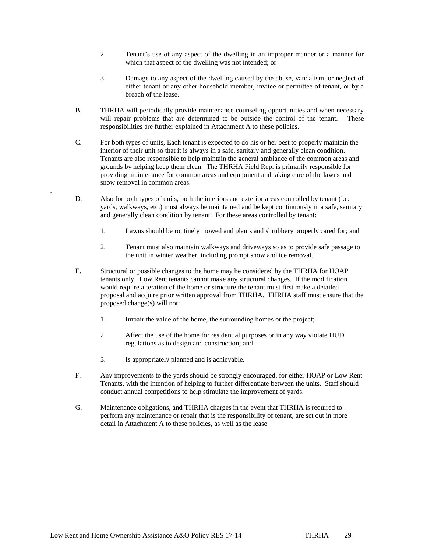- 2. Tenant's use of any aspect of the dwelling in an improper manner or a manner for which that aspect of the dwelling was not intended; or
- 3. Damage to any aspect of the dwelling caused by the abuse, vandalism, or neglect of either tenant or any other household member, invitee or permittee of tenant, or by a breach of the lease.
- B. THRHA will periodically provide maintenance counseling opportunities and when necessary will repair problems that are determined to be outside the control of the tenant. These responsibilities are further explained in Attachment A to these policies.
- C. For both types of units, Each tenant is expected to do his or her best to properly maintain the interior of their unit so that it is always in a safe, sanitary and generally clean condition. Tenants are also responsible to help maintain the general ambiance of the common areas and grounds by helping keep them clean. The THRHA Field Rep. is primarily responsible for providing maintenance for common areas and equipment and taking care of the lawns and snow removal in common areas.
- D. Also for both types of units, both the interiors and exterior areas controlled by tenant (i.e. yards, walkways, etc.) must always be maintained and be kept continuously in a safe, sanitary and generally clean condition by tenant. For these areas controlled by tenant:
	- 1. Lawns should be routinely mowed and plants and shrubbery properly cared for; and
	- 2. Tenant must also maintain walkways and driveways so as to provide safe passage to the unit in winter weather, including prompt snow and ice removal.
- E. Structural or possible changes to the home may be considered by the THRHA for HOAP tenants only. Low Rent tenants cannot make any structural changes. If the modification would require alteration of the home or structure the tenant must first make a detailed proposal and acquire prior written approval from THRHA. THRHA staff must ensure that the proposed change(s) will not:
	- 1. Impair the value of the home, the surrounding homes or the project;
	- 2. Affect the use of the home for residential purposes or in any way violate HUD regulations as to design and construction; and
	- 3. Is appropriately planned and is achievable.

.

- F. Any improvements to the yards should be strongly encouraged, for either HOAP or Low Rent Tenants, with the intention of helping to further differentiate between the units. Staff should conduct annual competitions to help stimulate the improvement of yards.
- G. Maintenance obligations, and THRHA charges in the event that THRHA is required to perform any maintenance or repair that is the responsibility of tenant, are set out in more detail in Attachment A to these policies, as well as the lease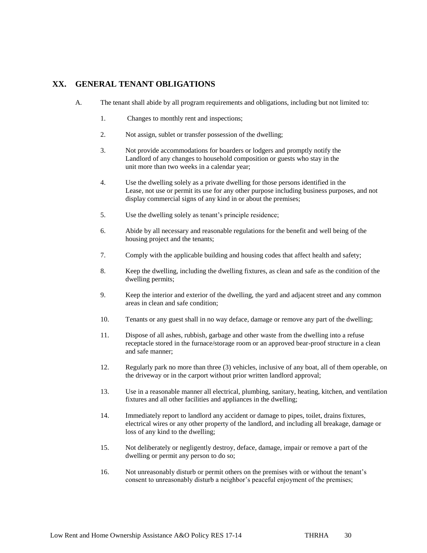### **XX. GENERAL TENANT OBLIGATIONS**

- A. The tenant shall abide by all program requirements and obligations, including but not limited to:
	- 1. Changes to monthly rent and inspections;
	- 2. Not assign, sublet or transfer possession of the dwelling;
	- 3. Not provide accommodations for boarders or lodgers and promptly notify the Landlord of any changes to household composition or guests who stay in the unit more than two weeks in a calendar year;
	- 4. Use the dwelling solely as a private dwelling for those persons identified in the Lease, not use or permit its use for any other purpose including business purposes, and not display commercial signs of any kind in or about the premises;
	- 5. Use the dwelling solely as tenant's principle residence;
	- 6. Abide by all necessary and reasonable regulations for the benefit and well being of the housing project and the tenants;
	- 7. Comply with the applicable building and housing codes that affect health and safety;
	- 8. Keep the dwelling, including the dwelling fixtures, as clean and safe as the condition of the dwelling permits;
	- 9. Keep the interior and exterior of the dwelling, the yard and adjacent street and any common areas in clean and safe condition;
	- 10. Tenants or any guest shall in no way deface, damage or remove any part of the dwelling;
	- 11. Dispose of all ashes, rubbish, garbage and other waste from the dwelling into a refuse receptacle stored in the furnace/storage room or an approved bear-proof structure in a clean and safe manner;
	- 12. Regularly park no more than three (3) vehicles, inclusive of any boat, all of them operable, on the driveway or in the carport without prior written landlord approval;
	- 13. Use in a reasonable manner all electrical, plumbing, sanitary, heating, kitchen, and ventilation fixtures and all other facilities and appliances in the dwelling;
	- 14. Immediately report to landlord any accident or damage to pipes, toilet, drains fixtures, electrical wires or any other property of the landlord, and including all breakage, damage or loss of any kind to the dwelling;
	- 15. Not deliberately or negligently destroy, deface, damage, impair or remove a part of the dwelling or permit any person to do so;
	- 16. Not unreasonably disturb or permit others on the premises with or without the tenant's consent to unreasonably disturb a neighbor's peaceful enjoyment of the premises;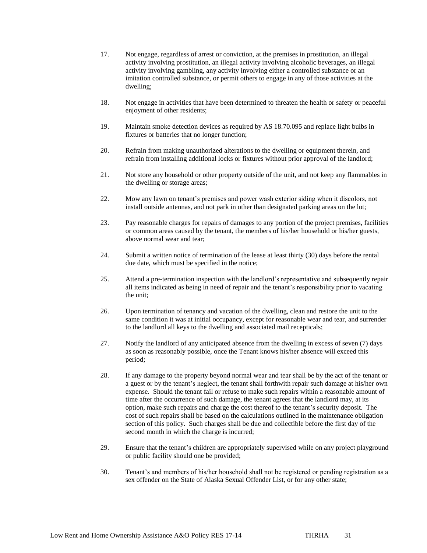- 17. Not engage, regardless of arrest or conviction, at the premises in prostitution, an illegal activity involving prostitution, an illegal activity involving alcoholic beverages, an illegal activity involving gambling, any activity involving either a controlled substance or an imitation controlled substance, or permit others to engage in any of those activities at the dwelling;
- 18. Not engage in activities that have been determined to threaten the health or safety or peaceful enjoyment of other residents;
- 19. Maintain smoke detection devices as required by AS 18.70.095 and replace light bulbs in fixtures or batteries that no longer function;
- 20. Refrain from making unauthorized alterations to the dwelling or equipment therein, and refrain from installing additional locks or fixtures without prior approval of the landlord;
- 21. Not store any household or other property outside of the unit, and not keep any flammables in the dwelling or storage areas;
- 22. Mow any lawn on tenant's premises and power wash exterior siding when it discolors, not install outside antennas, and not park in other than designated parking areas on the lot;
- 23. Pay reasonable charges for repairs of damages to any portion of the project premises, facilities or common areas caused by the tenant, the members of his/her household or his/her guests, above normal wear and tear;
- 24. Submit a written notice of termination of the lease at least thirty (30) days before the rental due date, which must be specified in the notice;
- 25. Attend a pre-termination inspection with the landlord's representative and subsequently repair all items indicated as being in need of repair and the tenant's responsibility prior to vacating the unit;
- 26. Upon termination of tenancy and vacation of the dwelling, clean and restore the unit to the same condition it was at initial occupancy, except for reasonable wear and tear, and surrender to the landlord all keys to the dwelling and associated mail recepticals;
- 27. Notify the landlord of any anticipated absence from the dwelling in excess of seven (7) days as soon as reasonably possible, once the Tenant knows his/her absence will exceed this period;
- 28. If any damage to the property beyond normal wear and tear shall be by the act of the tenant or a guest or by the tenant's neglect, the tenant shall forthwith repair such damage at his/her own expense. Should the tenant fail or refuse to make such repairs within a reasonable amount of time after the occurrence of such damage, the tenant agrees that the landlord may, at its option, make such repairs and charge the cost thereof to the tenant's security deposit. The cost of such repairs shall be based on the calculations outlined in the maintenance obligation section of this policy. Such charges shall be due and collectible before the first day of the second month in which the charge is incurred;
- 29. Ensure that the tenant's children are appropriately supervised while on any project playground or public facility should one be provided;
- 30. Tenant's and members of his/her household shall not be registered or pending registration as a sex offender on the State of Alaska Sexual Offender List, or for any other state;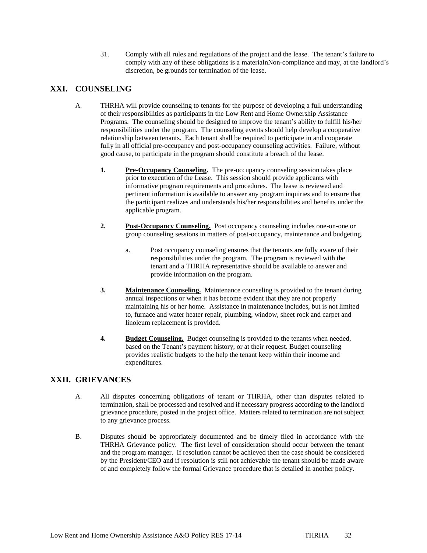31. Comply with all rules and regulations of the project and the lease. The tenant's failure to comply with any of these obligations is a materialnNon-compliance and may, at the landlord's discretion, be grounds for termination of the lease.

## **XXI. COUNSELING**

- A. THRHA will provide counseling to tenants for the purpose of developing a full understanding of their responsibilities as participants in the Low Rent and Home Ownership Assistance Programs. The counseling should be designed to improve the tenant's ability to fulfill his/her responsibilities under the program. The counseling events should help develop a cooperative relationship between tenants. Each tenant shall be required to participate in and cooperate fully in all official pre-occupancy and post-occupancy counseling activities. Failure, without good cause, to participate in the program should constitute a breach of the lease.
	- **1. Pre-Occupancy Counseling.** The pre-occupancy counseling session takes place prior to execution of the Lease. This session should provide applicants with informative program requirements and procedures. The lease is reviewed and pertinent information is available to answer any program inquiries and to ensure that the participant realizes and understands his/her responsibilities and benefits under the applicable program.
	- **2. Post-Occupancy Counseling.** Post occupancy counseling includes one-on-one or group counseling sessions in matters of post-occupancy, maintenance and budgeting.
		- a. Post occupancy counseling ensures that the tenants are fully aware of their responsibilities under the program. The program is reviewed with the tenant and a THRHA representative should be available to answer and provide information on the program.
	- **3. Maintenance Counseling.** Maintenance counseling is provided to the tenant during annual inspections or when it has become evident that they are not properly maintaining his or her home. Assistance in maintenance includes, but is not limited to, furnace and water heater repair, plumbing, window, sheet rock and carpet and linoleum replacement is provided.
	- **4. Budget Counseling.** Budget counseling is provided to the tenants when needed, based on the Tenant's payment history, or at their request. Budget counseling provides realistic budgets to the help the tenant keep within their income and expenditures.

### **XXII. GRIEVANCES**

- A. All disputes concerning obligations of tenant or THRHA, other than disputes related to termination, shall be processed and resolved and if necessary progress according to the landlord grievance procedure, posted in the project office. Matters related to termination are not subject to any grievance process.
- B. Disputes should be appropriately documented and be timely filed in accordance with the THRHA Grievance policy. The first level of consideration should occur between the tenant and the program manager. If resolution cannot be achieved then the case should be considered by the President/CEO and if resolution is still not achievable the tenant should be made aware of and completely follow the formal Grievance procedure that is detailed in another policy.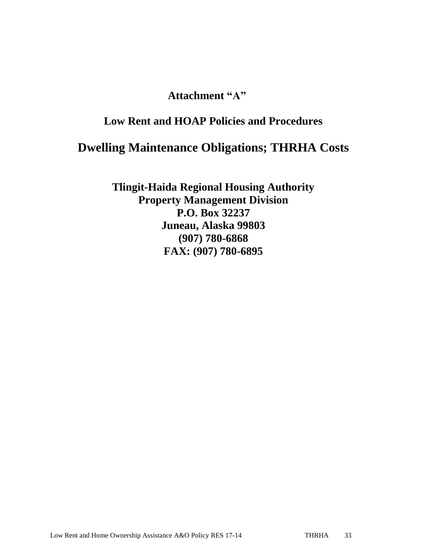## **Attachment "A"**

## **Low Rent and HOAP Policies and Procedures**

# **Dwelling Maintenance Obligations; THRHA Costs**

**Tlingit-Haida Regional Housing Authority Property Management Division P.O. Box 32237 Juneau, Alaska 99803 (907) 780-6868 FAX: (907) 780-6895**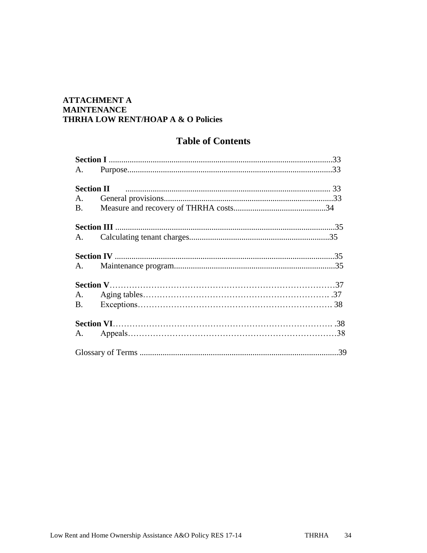## **ATTACHMENT A MAINTENANCE** THRHA LOW RENT/HOAP A & O Policies

## **Table of Contents**

| A.        |  |
|-----------|--|
| <b>B.</b> |  |
|           |  |
|           |  |
|           |  |
|           |  |
|           |  |
|           |  |
|           |  |
|           |  |
|           |  |
|           |  |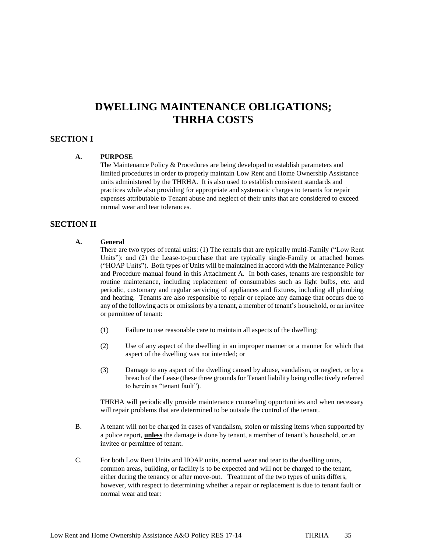## **DWELLING MAINTENANCE OBLIGATIONS; THRHA COSTS**

### **SECTION I**

#### **A. PURPOSE**

The Maintenance Policy & Procedures are being developed to establish parameters and limited procedures in order to properly maintain Low Rent and Home Ownership Assistance units administered by the THRHA. It is also used to establish consistent standards and practices while also providing for appropriate and systematic charges to tenants for repair expenses attributable to Tenant abuse and neglect of their units that are considered to exceed normal wear and tear tolerances.

### **SECTION II**

#### **A. General**

There are two types of rental units: (1) The rentals that are typically multi-Family ("Low Rent Units"); and (2) the Lease-to-purchase that are typically single-Family or attached homes ("HOAP Units"). Both types of Units will be maintained in accord with the Maintenance Policy and Procedure manual found in this Attachment A. In both cases, tenants are responsible for routine maintenance, including replacement of consumables such as light bulbs, etc. and periodic, customary and regular servicing of appliances and fixtures, including all plumbing and heating. Tenants are also responsible to repair or replace any damage that occurs due to any of the following acts or omissions by a tenant, a member of tenant's household, or an invitee or permittee of tenant:

- (1) Failure to use reasonable care to maintain all aspects of the dwelling;
- (2) Use of any aspect of the dwelling in an improper manner or a manner for which that aspect of the dwelling was not intended; or
- (3) Damage to any aspect of the dwelling caused by abuse, vandalism, or neglect, or by a breach of the Lease (these three grounds for Tenant liability being collectively referred to herein as "tenant fault").

THRHA will periodically provide maintenance counseling opportunities and when necessary will repair problems that are determined to be outside the control of the tenant.

- B. A tenant will not be charged in cases of vandalism, stolen or missing items when supported by a police report, **unless** the damage is done by tenant, a member of tenant's household, or an invitee or permittee of tenant.
- C. For both Low Rent Units and HOAP units, normal wear and tear to the dwelling units, common areas, building, or facility is to be expected and will not be charged to the tenant, either during the tenancy or after move-out. Treatment of the two types of units differs, however, with respect to determining whether a repair or replacement is due to tenant fault or normal wear and tear: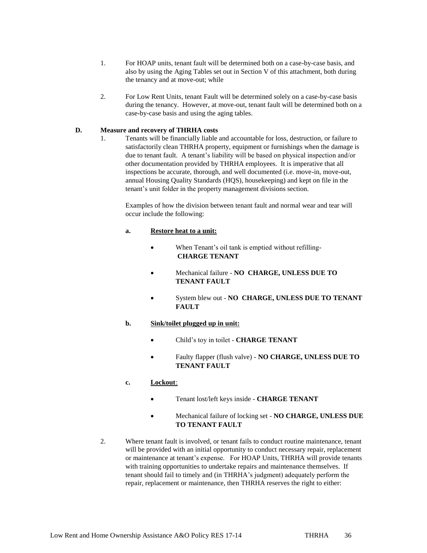- 1. For HOAP units, tenant fault will be determined both on a case-by-case basis, and also by using the Aging Tables set out in Section V of this attachment, both during the tenancy and at move-out; while
- 2. For Low Rent Units, tenant Fault will be determined solely on a case-by-case basis during the tenancy. However, at move-out, tenant fault will be determined both on a case-by-case basis and using the aging tables.

### **D. Measure and recovery of THRHA costs**

1. Tenants will be financially liable and accountable for loss, destruction, or failure to satisfactorily clean THRHA property, equipment or furnishings when the damage is due to tenant fault. A tenant's liability will be based on physical inspection and/or other documentation provided by THRHA employees. It is imperative that all inspections be accurate, thorough, and well documented (i.e. move-in, move-out, annual Housing Quality Standards (HQS), housekeeping) and kept on file in the tenant's unit folder in the property management divisions section.

Examples of how the division between tenant fault and normal wear and tear will occur include the following:

#### **a. Restore heat to a unit:**

- When Tenant's oil tank is emptied without refilling-**CHARGE TENANT**
- Mechanical failure **NO CHARGE, UNLESS DUE TO TENANT FAULT**
- System blew out **NO CHARGE, UNLESS DUE TO TENANT FAULT**

#### **b. Sink/toilet plugged up in unit:**

- Child's toy in toilet **CHARGE TENANT**
- Faulty flapper (flush valve) **NO CHARGE, UNLESS DUE TO TENANT FAULT**

### **c. Lockout**:

- Tenant lost/left keys inside **CHARGE TENANT**
- Mechanical failure of locking set **NO CHARGE, UNLESS DUE TO TENANT FAULT**
- 2. Where tenant fault is involved, or tenant fails to conduct routine maintenance, tenant will be provided with an initial opportunity to conduct necessary repair, replacement or maintenance at tenant's expense. For HOAP Units, THRHA will provide tenants with training opportunities to undertake repairs and maintenance themselves. If tenant should fail to timely and (in THRHA's judgment) adequately perform the repair, replacement or maintenance, then THRHA reserves the right to either: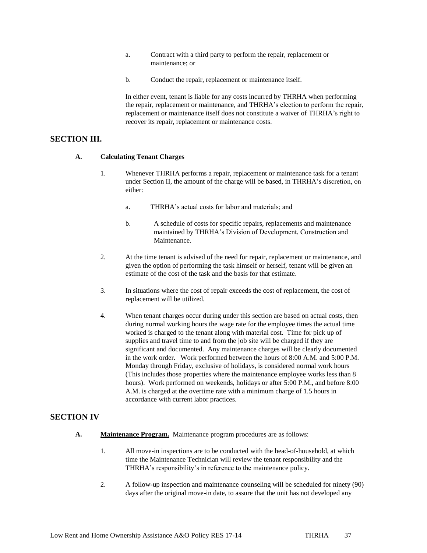- a. Contract with a third party to perform the repair, replacement or maintenance; or
- b. Conduct the repair, replacement or maintenance itself.

In either event, tenant is liable for any costs incurred by THRHA when performing the repair, replacement or maintenance, and THRHA's election to perform the repair, replacement or maintenance itself does not constitute a waiver of THRHA's right to recover its repair, replacement or maintenance costs.

### **SECTION III.**

#### **A. Calculating Tenant Charges**

- 1. Whenever THRHA performs a repair, replacement or maintenance task for a tenant under Section II, the amount of the charge will be based, in THRHA's discretion, on either:
	- a. THRHA's actual costs for labor and materials; and
	- b. A schedule of costs for specific repairs, replacements and maintenance maintained by THRHA's Division of Development, Construction and **Maintenance**
- 2. At the time tenant is advised of the need for repair, replacement or maintenance, and given the option of performing the task himself or herself, tenant will be given an estimate of the cost of the task and the basis for that estimate.
- 3. In situations where the cost of repair exceeds the cost of replacement, the cost of replacement will be utilized.
- 4. When tenant charges occur during under this section are based on actual costs, then during normal working hours the wage rate for the employee times the actual time worked is charged to the tenant along with material cost. Time for pick up of supplies and travel time to and from the job site will be charged if they are significant and documented. Any maintenance charges will be clearly documented in the work order. Work performed between the hours of 8:00 A.M. and 5:00 P.M. Monday through Friday, exclusive of holidays, is considered normal work hours (This includes those properties where the maintenance employee works less than 8 hours). Work performed on weekends, holidays or after 5:00 P.M., and before 8:00 A.M. is charged at the overtime rate with a minimum charge of 1.5 hours in accordance with current labor practices.

### **SECTION IV**

- **A. Maintenance Program.** Maintenance program procedures are as follows:
	- 1. All move-in inspections are to be conducted with the head-of-household, at which time the Maintenance Technician will review the tenant responsibility and the THRHA's responsibility's in reference to the maintenance policy.
	- 2. A follow-up inspection and maintenance counseling will be scheduled for ninety (90) days after the original move-in date, to assure that the unit has not developed any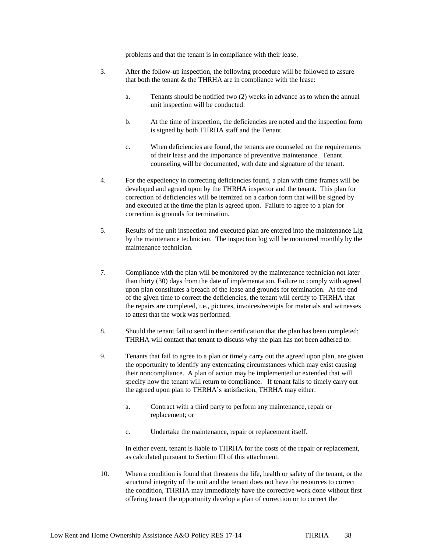problems and that the tenant is in compliance with their lease.

- 3. After the follow-up inspection, the following procedure will be followed to assure that both the tenant & the THRHA are in compliance with the lease:
	- a. Tenants should be notified two (2) weeks in advance as to when the annual unit inspection will be conducted.
	- b. At the time of inspection, the deficiencies are noted and the inspection form is signed by both THRHA staff and the Tenant.
	- c. When deficiencies are found, the tenants are counseled on the requirements of their lease and the importance of preventive maintenance. Tenant counseling will be documented, with date and signature of the tenant.
- 4. For the expediency in correcting deficiencies found, a plan with time frames will be developed and agreed upon by the THRHA inspector and the tenant. This plan for correction of deficiencies will be itemized on a carbon form that will be signed by and executed at the time the plan is agreed upon. Failure to agree to a plan for correction is grounds for termination.
- 5. Results of the unit inspection and executed plan are entered into the maintenance Llg by the maintenance technician. The inspection log will be monitored monthly by the maintenance technician.
- 7. Compliance with the plan will be monitored by the maintenance technician not later than thirty (30) days from the date of implementation. Failure to comply with agreed upon plan constitutes a breach of the lease and grounds for termination. At the end of the given time to correct the deficiencies, the tenant will certify to THRHA that the repairs are completed, i.e., pictures, invoices/receipts for materials and witnesses to attest that the work was performed.
- 8. Should the tenant fail to send in their certification that the plan has been completed; THRHA will contact that tenant to discuss why the plan has not been adhered to.
- 9. Tenants that fail to agree to a plan or timely carry out the agreed upon plan, are given the opportunity to identify any extenuating circumstances which may exist causing their noncompliance. A plan of action may be implemented or extended that will specify how the tenant will return to compliance. If tenant fails to timely carry out the agreed upon plan to THRHA's satisfaction, THRHA may either:
	- a. Contract with a third party to perform any maintenance, repair or replacement; or
	- c. Undertake the maintenance, repair or replacement itself.

In either event, tenant is liable to THRHA for the costs of the repair or replacement, as calculated pursuant to Section III of this attachment.

10. When a condition is found that threatens the life, health or safety of the tenant, or the structural integrity of the unit and the tenant does not have the resources to correct the condition, THRHA may immediately have the corrective work done without first offering tenant the opportunity develop a plan of correction or to correct the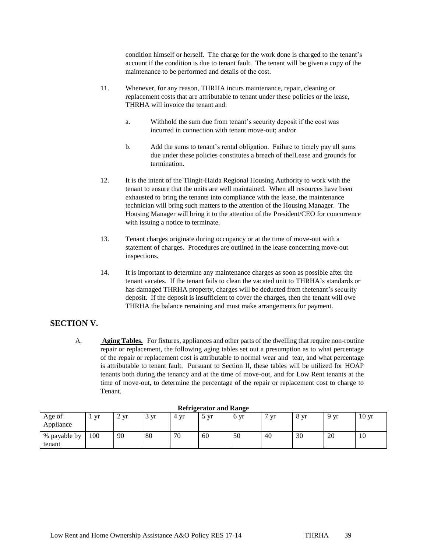condition himself or herself. The charge for the work done is charged to the tenant's account if the condition is due to tenant fault. The tenant will be given a copy of the maintenance to be performed and details of the cost.

- 11. Whenever, for any reason, THRHA incurs maintenance, repair, cleaning or replacement costs that are attributable to tenant under these policies or the lease, THRHA will invoice the tenant and:
	- a. Withhold the sum due from tenant's security deposit if the cost was incurred in connection with tenant move-out; and/or
	- b. Add the sums to tenant's rental obligation. Failure to timely pay all sums due under these policies constitutes a breach of thelLease and grounds for termination.
- 12. It is the intent of the Tlingit-Haida Regional Housing Authority to work with the tenant to ensure that the units are well maintained. When all resources have been exhausted to bring the tenants into compliance with the lease, the maintenance technician will bring such matters to the attention of the Housing Manager. The Housing Manager will bring it to the attention of the President/CEO for concurrence with issuing a notice to terminate.
- 13. Tenant charges originate during occupancy or at the time of move-out with a statement of charges. Procedures are outlined in the lease concerning move-out inspections.
- 14. It is important to determine any maintenance charges as soon as possible after the tenant vacates. If the tenant fails to clean the vacated unit to THRHA's standards or has damaged THRHA property, charges will be deducted from thetenant's security deposit. If the deposit is insufficient to cover the charges, then the tenant will owe THRHA the balance remaining and must make arrangements for payment.

### **SECTION V.**

A. **Aging Tables.** For fixtures, appliances and other parts of the dwelling that require non-routine repair or replacement, the following aging tables set out a presumption as to what percentage of the repair or replacement cost is attributable to normal wear and tear, and what percentage is attributable to tenant fault. Pursuant to Section II, these tables will be utilized for HOAP tenants both during the tenancy and at the time of move-out, and for Low Rent tenants at the time of move-out, to determine the percentage of the repair or replacement cost to charge to Tenant.

| <i>Refrigerator</i> and <i>Range</i> |     |              |                |      |      |      |    |      |                 |                  |
|--------------------------------------|-----|--------------|----------------|------|------|------|----|------|-----------------|------------------|
| Age of<br>Appliance                  | yr  | Vr<br>$\sim$ | <b>Vr</b><br>◡ | 4 yr | , vr | 6 yr | vr | 8 yr | 9 <sub>vr</sub> | 10 <sub>yr</sub> |
| % payable by<br>tenant               | 100 | 90           | 80             | 70   | 60   | 50   | 40 | 30   | 20              | 10               |

#### **Refrigerator and Range**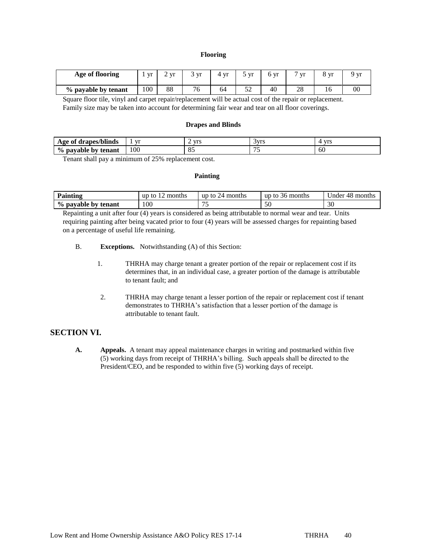#### **Flooring**

| Age of flooring     | Vr  | $\mathbf{V}$ | vr         | Vr | <b>Vr</b>  | vr | $7 \text{ yr}$ | VI | Vľ |
|---------------------|-----|--------------|------------|----|------------|----|----------------|----|----|
| % payable by tenant | 100 | 88           | 76<br>نا ' | 64 | r n<br>ے ر | 40 | 28             | 10 | 00 |

Square floor tile, vinyl and carpet repair/replacement will be actual cost of the repair or replacement. Family size may be taken into account for determining fair wear and tear on all floor coverings.

#### **Drapes and Blinds**

| $\mathbf{v}$<br>' drapes/blinds<br>Age of     | vr  | <b>A</b><br><b>VID</b> | ivrs<br>'VLG<br>ັ | <b>Vrs</b> |
|-----------------------------------------------|-----|------------------------|-------------------|------------|
| $\frac{0}{0}$<br>pavable<br>tenant<br>hv<br>v | 100 | Ω£<br>o.               | $-$               | 60         |

Tenant shall pay a minimum of 25% replacement cost.

#### **Painting**

| Painting            | months<br><b>up</b><br>tΩ | 24<br>∙months<br>up to | 36 months<br>up to. | 48<br>Jnder<br>months |  |
|---------------------|---------------------------|------------------------|---------------------|-----------------------|--|
| % payable by tenant | 100                       | $\sim$ $\sim$          | $\sim$ $\sim$<br>ЭU | 30                    |  |

Repainting a unit after four (4) years is considered as being attributable to normal wear and tear. Units requiring painting after being vacated prior to four (4) years will be assessed charges for repainting based on a percentage of useful life remaining.

B. **Exceptions.** Notwithstanding (A) of this Section:

- 1. THRHA may charge tenant a greater portion of the repair or replacement cost if its determines that, in an individual case, a greater portion of the damage is attributable to tenant fault; and
- 2. THRHA may charge tenant a lesser portion of the repair or replacement cost if tenant demonstrates to THRHA's satisfaction that a lesser portion of the damage is attributable to tenant fault.

### **SECTION VI.**

**A. Appeals.** A tenant may appeal maintenance charges in writing and postmarked within five (5) working days from receipt of THRHA's billing. Such appeals shall be directed to the President/CEO, and be responded to within five (5) working days of receipt.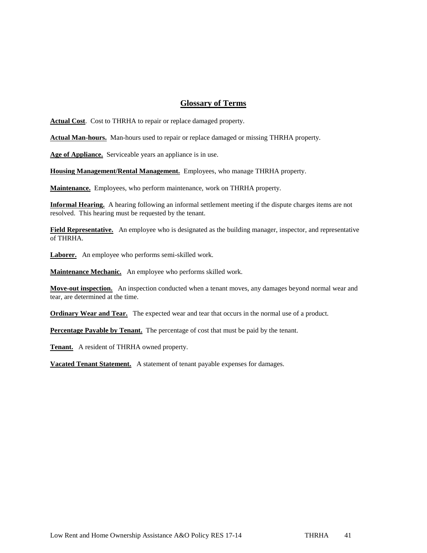### **Glossary of Terms**

**Actual Cost**. Cost to THRHA to repair or replace damaged property.

**Actual Man-hours.** Man-hours used to repair or replace damaged or missing THRHA property.

**Age of Appliance.** Serviceable years an appliance is in use.

**Housing Management/Rental Management.** Employees, who manage THRHA property.

**Maintenance.** Employees, who perform maintenance, work on THRHA property.

**Informal Hearing.** A hearing following an informal settlement meeting if the dispute charges items are not resolved. This hearing must be requested by the tenant.

**Field Representative.** An employee who is designated as the building manager, inspector, and representative of THRHA.

**Laborer.** An employee who performs semi-skilled work.

**Maintenance Mechanic.** An employee who performs skilled work.

**Move-out inspection.** An inspection conducted when a tenant moves, any damages beyond normal wear and tear, are determined at the time.

**Ordinary Wear and Tear.** The expected wear and tear that occurs in the normal use of a product.

**Percentage Payable by Tenant.** The percentage of cost that must be paid by the tenant.

**Tenant.** A resident of THRHA owned property.

**Vacated Tenant Statement.** A statement of tenant payable expenses for damages.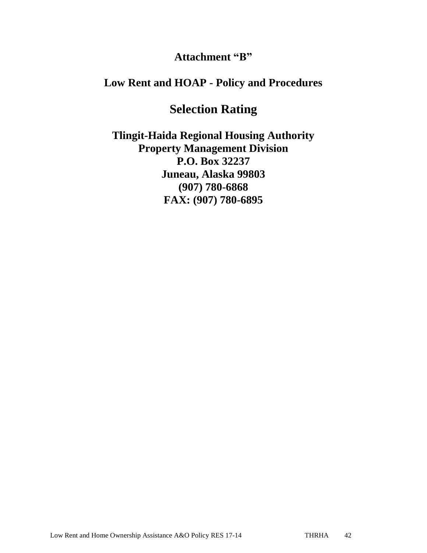## **Attachment "B"**

## **Low Rent and HOAP - Policy and Procedures**

# **Selection Rating**

**Tlingit-Haida Regional Housing Authority Property Management Division P.O. Box 32237 Juneau, Alaska 99803 (907) 780-6868 FAX: (907) 780-6895**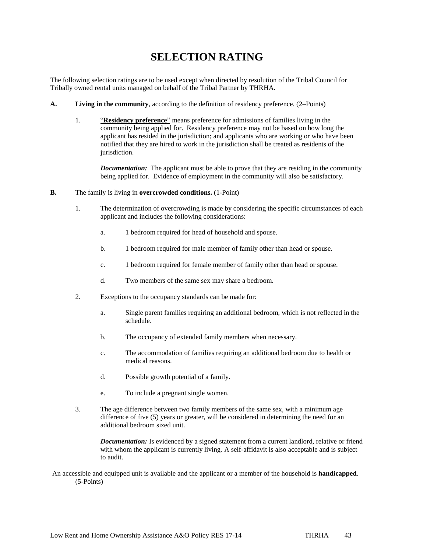## **SELECTION RATING**

The following selection ratings are to be used except when directed by resolution of the Tribal Council for Tribally owned rental units managed on behalf of the Tribal Partner by THRHA.

- **A. Living in the community**, according to the definition of residency preference. (2–Points)
	- 1. "**Residency preference**" means preference for admissions of families living in the community being applied for. Residency preference may not be based on how long the applicant has resided in the jurisdiction; and applicants who are working or who have been notified that they are hired to work in the jurisdiction shall be treated as residents of the jurisdiction.

*Documentation:* The applicant must be able to prove that they are residing in the community being applied for. Evidence of employment in the community will also be satisfactory.

- **B.** The family is living in **overcrowded conditions.** (1-Point)
	- 1. The determination of overcrowding is made by considering the specific circumstances of each applicant and includes the following considerations:
		- a. 1 bedroom required for head of household and spouse.
		- b. 1 bedroom required for male member of family other than head or spouse.
		- c. 1 bedroom required for female member of family other than head or spouse.
		- d. Two members of the same sex may share a bedroom.
	- 2. Exceptions to the occupancy standards can be made for:
		- a. Single parent families requiring an additional bedroom, which is not reflected in the schedule.
		- b. The occupancy of extended family members when necessary.
		- c. The accommodation of families requiring an additional bedroom due to health or medical reasons.
		- d. Possible growth potential of a family.
		- e. To include a pregnant single women.
	- 3. The age difference between two family members of the same sex, with a minimum age difference of five (5) years or greater, will be considered in determining the need for an additional bedroom sized unit.

*Documentation:* Is evidenced by a signed statement from a current landlord, relative or friend with whom the applicant is currently living. A self-affidavit is also acceptable and is subject to audit.

An accessible and equipped unit is available and the applicant or a member of the household is **handicapped**. (5-Points)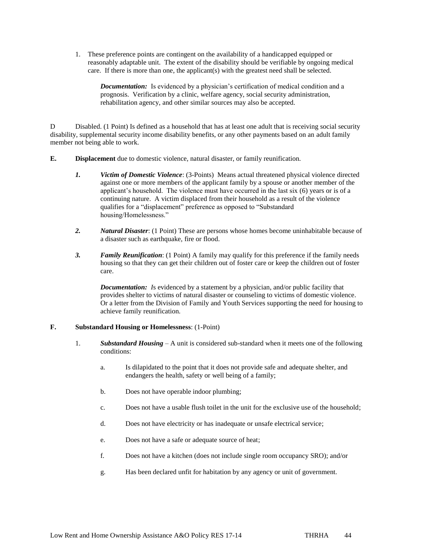1. These preference points are contingent on the availability of a handicapped equipped or reasonably adaptable unit. The extent of the disability should be verifiable by ongoing medical care. If there is more than one, the applicant(s) with the greatest need shall be selected.

*Documentation:* Is evidenced by a physician's certification of medical condition and a prognosis. Verification by a clinic, welfare agency, social security administration, rehabilitation agency, and other similar sources may also be accepted.

D Disabled. (1 Point) Is defined as a household that has at least one adult that is receiving social security disability, supplemental security income disability benefits, or any other payments based on an adult family member not being able to work.

- **E. Displacement** due to domestic violence, natural disaster, or family reunification.
	- *1. Victim of Domestic Violence*: (3-Points) Means actual threatened physical violence directed against one or more members of the applicant family by a spouse or another member of the applicant's household. The violence must have occurred in the last six (6) years or is of a continuing nature. A victim displaced from their household as a result of the violence qualifies for a "displacement" preference as opposed to "Substandard housing/Homelessness."
	- *2. Natural Disaster*: (1 Point) These are persons whose homes become uninhabitable because of a disaster such as earthquake, fire or flood.
	- *3. Family Reunification*: (1 Point) A family may qualify for this preference if the family needs housing so that they can get their children out of foster care or keep the children out of foster care.

*Documentation: Is* evidenced by a statement by a physician, and/or public facility that provides shelter to victims of natural disaster or counseling to victims of domestic violence. Or a letter from the Division of Family and Youth Services supporting the need for housing to achieve family reunification.

#### **F. Substandard Housing or Homelessness**: (1-Point)

- 1. *Substandard Housing* A unit is considered sub-standard when it meets one of the following conditions:
	- a. Is dilapidated to the point that it does not provide safe and adequate shelter, and endangers the health, safety or well being of a family;
	- b. Does not have operable indoor plumbing;
	- c. Does not have a usable flush toilet in the unit for the exclusive use of the household;
	- d. Does not have electricity or has inadequate or unsafe electrical service;
	- e. Does not have a safe or adequate source of heat;
	- f. Does not have a kitchen (does not include single room occupancy SRO); and/or
	- g. Has been declared unfit for habitation by any agency or unit of government.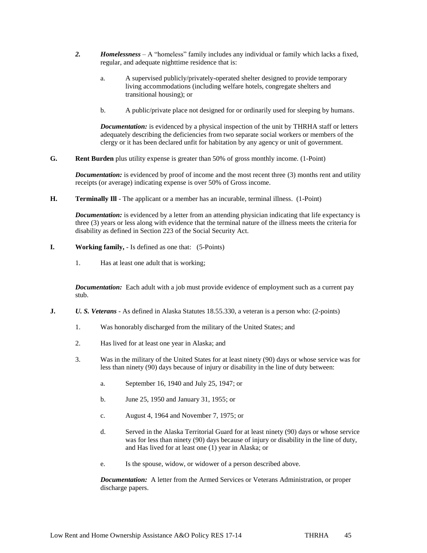- *2. Homelessness*  A "homeless" family includes any individual or family which lacks a fixed, regular, and adequate nighttime residence that is:
	- a. A supervised publicly/privately-operated shelter designed to provide temporary living accommodations (including welfare hotels, congregate shelters and transitional housing); or
	- b. A public/private place not designed for or ordinarily used for sleeping by humans.

*Documentation:* is evidenced by a physical inspection of the unit by THRHA staff or letters adequately describing the deficiencies from two separate social workers or members of the clergy or it has been declared unfit for habitation by any agency or unit of government.

**G. Rent Burden** plus utility expense is greater than 50% of gross monthly income. (1-Point)

*Documentation:* is evidenced by proof of income and the most recent three (3) months rent and utility receipts (or average) indicating expense is over 50% of Gross income.

**H. Terminally III** - The applicant or a member has an incurable, terminal illness. (1-Point)

*Documentation:* is evidenced by a letter from an attending physician indicating that life expectancy is three (3) years or less along with evidence that the terminal nature of the illness meets the criteria for disability as defined in Section 223 of the Social Security Act.

- **I. Working family,**  Is defined as one that: (5-Points)
	- 1. Has at least one adult that is working;

*Documentation:* Each adult with a job must provide evidence of employment such as a current pay stub.

- **J.** *U. S. Veterans* As defined in Alaska Statutes 18.55.330, a veteran is a person who: (2-points)
	- 1. Was honorably discharged from the military of the United States; and
	- 2. Has lived for at least one year in Alaska; and
	- 3. Was in the military of the United States for at least ninety (90) days or whose service was for less than ninety (90) days because of injury or disability in the line of duty between:
		- a. September 16, 1940 and July 25, 1947; or
		- b. June 25, 1950 and January 31, 1955; or
		- c. August 4, 1964 and November 7, 1975; or
		- d. Served in the Alaska Territorial Guard for at least ninety (90) days or whose service was for less than ninety (90) days because of injury or disability in the line of duty, and Has lived for at least one (1) year in Alaska; or
		- e. Is the spouse, widow, or widower of a person described above.

*Documentation:* A letter from the Armed Services or Veterans Administration, or proper discharge papers.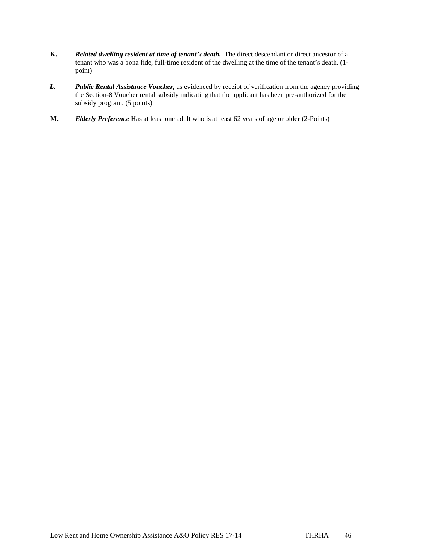- **K.** *Related dwelling resident at time of tenant's death.* The direct descendant or direct ancestor of a tenant who was a bona fide, full-time resident of the dwelling at the time of the tenant's death. (1 point)
- *L. Public Rental Assistance Voucher,* as evidenced by receipt of verification from the agency providing the Section-8 Voucher rental subsidy indicating that the applicant has been pre-authorized for the subsidy program. (5 points)
- **M.** *Elderly Preference* Has at least one adult who is at least 62 years of age or older (2-Points)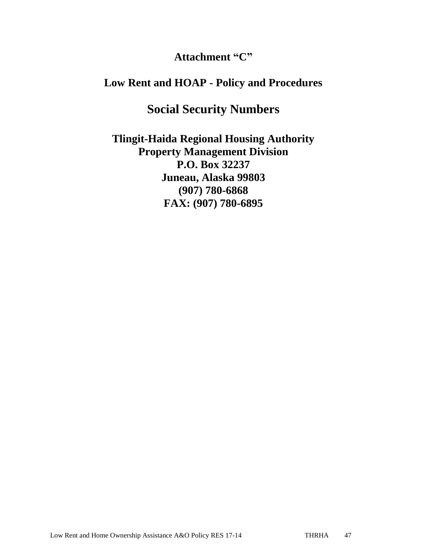## **Attachment "C"**

## **Low Rent and HOAP - Policy and Procedures**

# **Social Security Numbers**

**Tlingit-Haida Regional Housing Authority Property Management Division P.O. Box 32237 Juneau, Alaska 99803 (907) 780-6868 FAX: (907) 780-6895**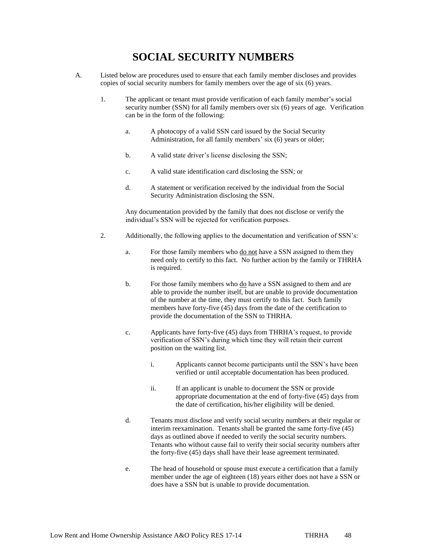## **SOCIAL SECURITY NUMBERS**

- A. Listed below are procedures used to ensure that each family member discloses and provides copies of social security numbers for family members over the age of six (6) years.
	- 1. The applicant or tenant must provide verification of each family member's social security number (SSN) for all family members over six (6) years of age. Verification can be in the form of the following:
		- a. A photocopy of a valid SSN card issued by the Social Security Administration, for all family members' six (6) years or older;
		- b. A valid state driver's license disclosing the SSN;
		- c. A valid state identification card disclosing the SSN; or
		- d. A statement or verification received by the individual from the Social Security Administration disclosing the SSN.

Any documentation provided by the family that does not disclose or verify the individual's SSN will be rejected for verification purposes.

- 2. Additionally, the following applies to the documentation and verification of SSN's:
	- a. For those family members who do not have a SSN assigned to them they need only to certify to this fact. No further action by the family or THRHA is required.
	- b. For those family members who do have a SSN assigned to them and are able to provide the number itself, but are unable to provide documentation of the number at the time, they must certify to this fact. Such family members have forty-five (45) days from the date of the certification to provide the documentation of the SSN to THRHA.
	- c. Applicants have forty-five (45) days from THRHA's request, to provide verification of SSN's during which time they will retain their current position on the waiting list.
		- i. Applicants cannot become participants until the SSN's have been verified or until acceptable documentation has been produced.
		- ii. If an applicant is unable to document the SSN or provide appropriate documentation at the end of forty-five (45) days from the date of certification, his/her eligibility will be denied.
	- d. Tenants must disclose and verify social security numbers at their regular or interim reexamination. Tenants shall be granted the same forty-five (45) days as outlined above if needed to verify the social security numbers. Tenants who without cause fail to verify their social security numbers after the forty-five (45) days shall have their lease agreement terminated.
	- e. The head of household or spouse must execute a certification that a family member under the age of eighteen (18) years either does not have a SSN or does have a SSN but is unable to provide documentation.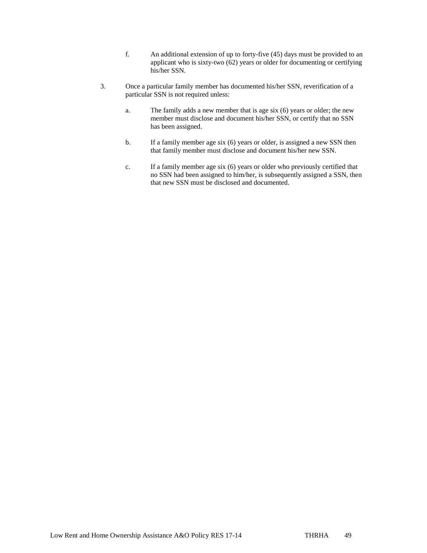- f. An additional extension of up to forty-five (45) days must be provided to an applicant who is sixty-two  $(62)$  years or older for documenting or certifying his/her SSN.
- 3. Once a particular family member has documented his/her SSN, reverification of a particular SSN is not required unless:
	- a. The family adds a new member that is age six (6) years or older; the new member must disclose and document his/her SSN, or certify that no SSN has been assigned.
	- b. If a family member age six (6) years or older, is assigned a new SSN then that family member must disclose and document his/her new SSN.
	- c. If a family member age six (6) years or older who previously certified that no SSN had been assigned to him/her, is subsequently assigned a SSN, then that new SSN must be disclosed and documented.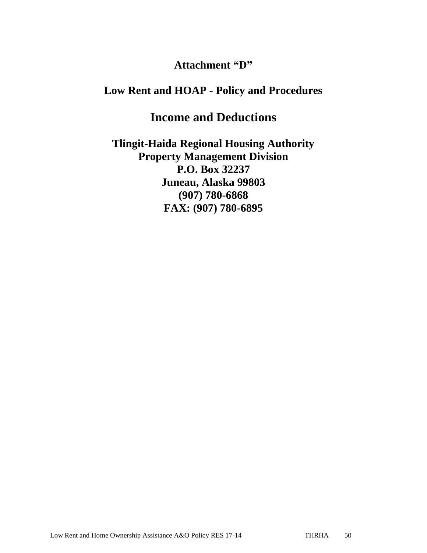## **Attachment "D"**

## **Low Rent and HOAP - Policy and Procedures**

# **Income and Deductions**

**Tlingit-Haida Regional Housing Authority Property Management Division P.O. Box 32237 Juneau, Alaska 99803 (907) 780-6868 FAX: (907) 780-6895**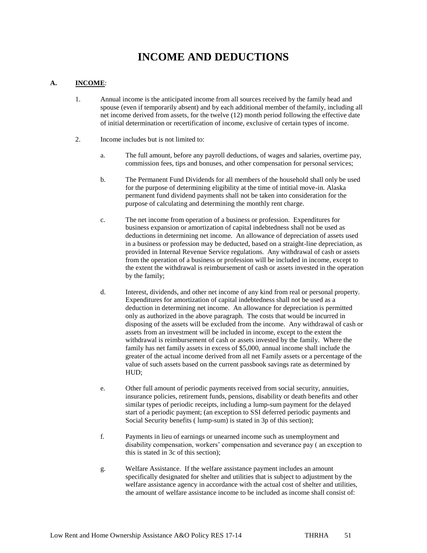# **INCOME AND DEDUCTIONS**

#### **A. INCOME**:

- 1. Annual income is the anticipated income from all sources received by the family head and spouse (even if temporarily absent) and by each additional member of thefamily, including all net income derived from assets, for the twelve (12) month period following the effective date of initial determination or recertification of income, exclusive of certain types of income.
- 2. Income includes but is not limited to:
	- a. The full amount, before any payroll deductions, of wages and salaries, overtime pay, commission fees, tips and bonuses, and other compensation for personal services;
	- b. The Permanent Fund Dividends for all members of the household shall only be used for the purpose of determining eligibility at the time of intitial move-in. Alaska permanent fund dividend payments shall not be taken into consideration for the purpose of calculating and determining the monthly rent charge.
	- c. The net income from operation of a business or profession. Expenditures for business expansion or amortization of capital indebtedness shall not be used as deductions in determining net income. An allowance of depreciation of assets used in a business or profession may be deducted, based on a straight-line depreciation, as provided in Internal Revenue Service regulations. Any withdrawal of cash or assets from the operation of a business or profession will be included in income, except to the extent the withdrawal is reimbursement of cash or assets invested in the operation by the family;
	- d. Interest, dividends, and other net income of any kind from real or personal property. Expenditures for amortization of capital indebtedness shall not be used as a deduction in determining net income. An allowance for depreciation is permitted only as authorized in the above paragraph. The costs that would be incurred in disposing of the assets will be excluded from the income. Any withdrawal of cash or assets from an investment will be included in income, except to the extent the withdrawal is reimbursement of cash or assets invested by the family. Where the family has net family assets in excess of \$5,000, annual income shall include the greater of the actual income derived from all net Family assets or a percentage of the value of such assets based on the current passbook savings rate as determined by HUD;
	- e. Other full amount of periodic payments received from social security, annuities, insurance policies, retirement funds, pensions, disability or death benefits and other similar types of periodic receipts, including a lump-sum payment for the delayed start of a periodic payment; (an exception to SSI deferred periodic payments and Social Security benefits ( lump-sum) is stated in 3p of this section);
	- f. Payments in lieu of earnings or unearned income such as unemployment and disability compensation, workers' compensation and severance pay ( an exception to this is stated in 3c of this section);
	- g. Welfare Assistance. If the welfare assistance payment includes an amount specifically designated for shelter and utilities that is subject to adjustment by the welfare assistance agency in accordance with the actual cost of shelter and utilities, the amount of welfare assistance income to be included as income shall consist of: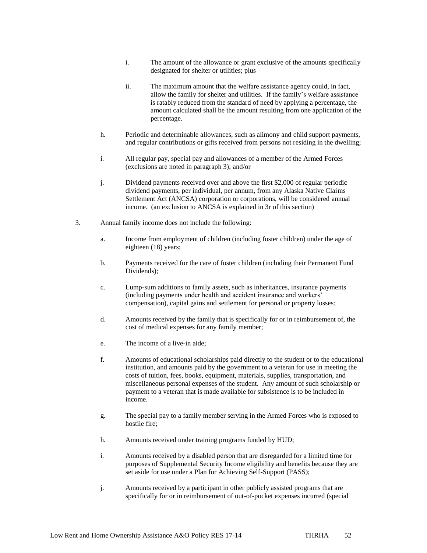- i. The amount of the allowance or grant exclusive of the amounts specifically designated for shelter or utilities; plus
- ii. The maximum amount that the welfare assistance agency could, in fact, allow the family for shelter and utilities. If the family's welfare assistance is ratably reduced from the standard of need by applying a percentage, the amount calculated shall be the amount resulting from one application of the percentage.
- h. Periodic and determinable allowances, such as alimony and child support payments, and regular contributions or gifts received from persons not residing in the dwelling;
- i. All regular pay, special pay and allowances of a member of the Armed Forces (exclusions are noted in paragraph 3); and/or
- j. Dividend payments received over and above the first \$2,000 of regular periodic dividend payments, per individual, per annum, from any Alaska Native Claims Settlement Act (ANCSA) corporation or corporations, will be considered annual income. (an exclusion to ANCSA is explained in 3r of this section)
- 3. Annual family income does not include the following:
	- a. Income from employment of children (including foster children) under the age of eighteen (18) years;
	- b. Payments received for the care of foster children (including their Permanent Fund Dividends);
	- c. Lump-sum additions to family assets, such as inheritances, insurance payments (including payments under health and accident insurance and workers' compensation), capital gains and settlement for personal or property losses;
	- d. Amounts received by the family that is specifically for or in reimbursement of, the cost of medical expenses for any family member;
	- e. The income of a live-in aide;
	- f. Amounts of educational scholarships paid directly to the student or to the educational institution, and amounts paid by the government to a veteran for use in meeting the costs of tuition, fees, books, equipment, materials, supplies, transportation, and miscellaneous personal expenses of the student. Any amount of such scholarship or payment to a veteran that is made available for subsistence is to be included in income.
	- g. The special pay to a family member serving in the Armed Forces who is exposed to hostile fire;
	- h. Amounts received under training programs funded by HUD;
	- i. Amounts received by a disabled person that are disregarded for a limited time for purposes of Supplemental Security Income eligibility and benefits because they are set aside for use under a Plan for Achieving Self-Support (PASS);
	- j. Amounts received by a participant in other publicly assisted programs that are specifically for or in reimbursement of out-of-pocket expenses incurred (special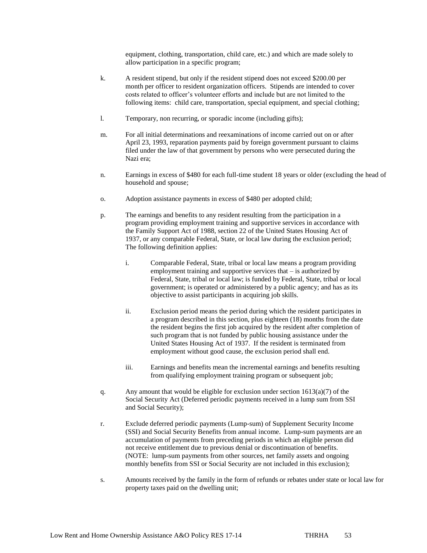equipment, clothing, transportation, child care, etc.) and which are made solely to allow participation in a specific program;

- k. A resident stipend, but only if the resident stipend does not exceed \$200.00 per month per officer to resident organization officers. Stipends are intended to cover costs related to officer's volunteer efforts and include but are not limited to the following items: child care, transportation, special equipment, and special clothing;
- l. Temporary, non recurring, or sporadic income (including gifts);
- m. For all initial determinations and reexaminations of income carried out on or after April 23, 1993, reparation payments paid by foreign government pursuant to claims filed under the law of that government by persons who were persecuted during the Nazi era;
- n. Earnings in excess of \$480 for each full-time student 18 years or older (excluding the head of household and spouse;
- o. Adoption assistance payments in excess of \$480 per adopted child;
- p. The earnings and benefits to any resident resulting from the participation in a program providing employment training and supportive services in accordance with the Family Support Act of 1988, section 22 of the United States Housing Act of 1937, or any comparable Federal, State, or local law during the exclusion period; The following definition applies:
	- i. Comparable Federal, State, tribal or local law means a program providing employment training and supportive services that – is authorized by Federal, State, tribal or local law; is funded by Federal, State, tribal or local government; is operated or administered by a public agency; and has as its objective to assist participants in acquiring job skills.
	- ii. Exclusion period means the period during which the resident participates in a program described in this section, plus eighteen (18) months from the date the resident begins the first job acquired by the resident after completion of such program that is not funded by public housing assistance under the United States Housing Act of 1937. If the resident is terminated from employment without good cause, the exclusion period shall end.
	- iii. Earnings and benefits mean the incremental earnings and benefits resulting from qualifying employment training program or subsequent job;
- q. Any amount that would be eligible for exclusion under section  $1613(a)(7)$  of the Social Security Act (Deferred periodic payments received in a lump sum from SSI and Social Security);
- r. Exclude deferred periodic payments (Lump-sum) of Supplement Security Income (SSI) and Social Security Benefits from annual income. Lump-sum payments are an accumulation of payments from preceding periods in which an eligible person did not receive entitlement due to previous denial or discontinuation of benefits. (NOTE: lump-sum payments from other sources, net family assets and ongoing monthly benefits from SSI or Social Security are not included in this exclusion);
- s. Amounts received by the family in the form of refunds or rebates under state or local law for property taxes paid on the dwelling unit;